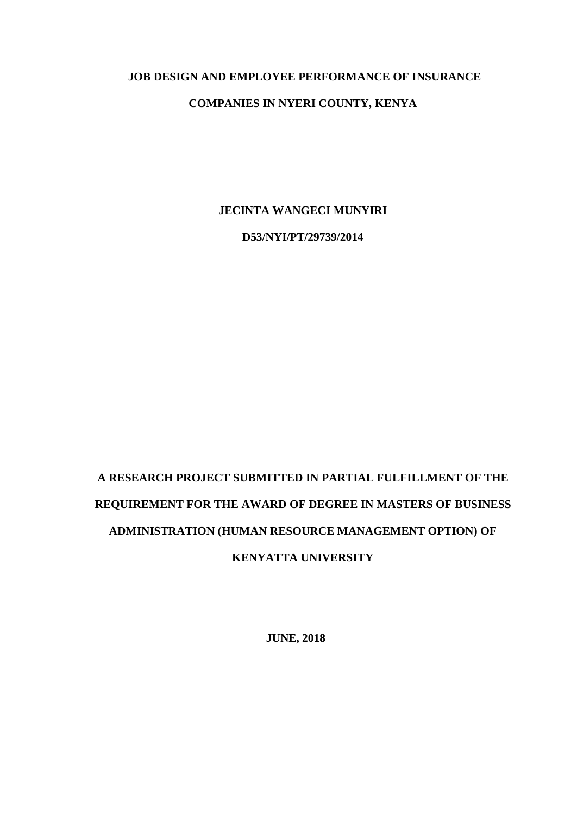#### **JOB DESIGN AND EMPLOYEE PERFORMANCE OF INSURANCE**

#### **COMPANIES IN NYERI COUNTY, KENYA**

**JECINTA WANGECI MUNYIRI**

**D53/NYI/PT/29739/2014**

# **A RESEARCH PROJECT SUBMITTED IN PARTIAL FULFILLMENT OF THE REQUIREMENT FOR THE AWARD OF DEGREE IN MASTERS OF BUSINESS ADMINISTRATION (HUMAN RESOURCE MANAGEMENT OPTION) OF KENYATTA UNIVERSITY**

**JUNE, 2018**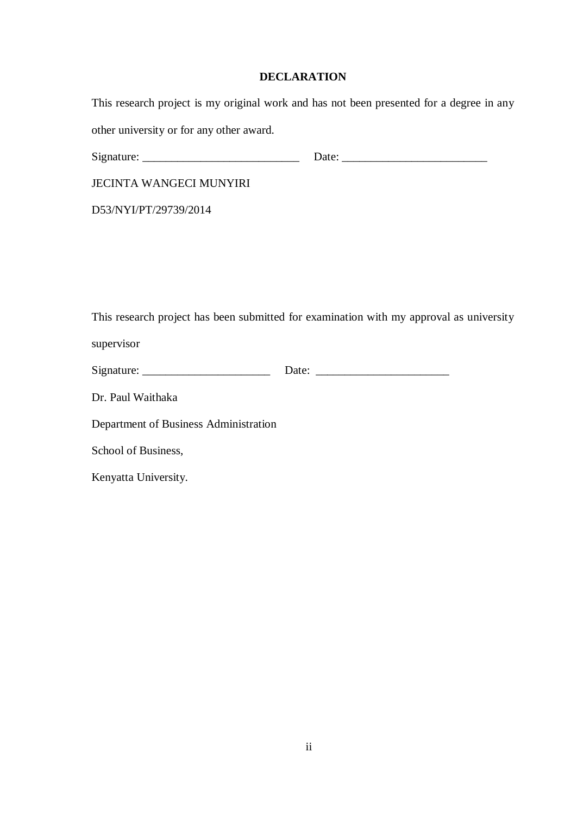## **DECLARATION**

|                                          | This research project is my original work and has not been presented for a degree in any |
|------------------------------------------|------------------------------------------------------------------------------------------|
| other university or for any other award. |                                                                                          |
|                                          |                                                                                          |
| <b>JECINTA WANGECI MUNYIRI</b>           |                                                                                          |
| D53/NYI/PT/29739/2014                    |                                                                                          |
|                                          |                                                                                          |
|                                          |                                                                                          |
|                                          |                                                                                          |
|                                          | This research project has been submitted for examination with my approval as university  |
| supervisor                               |                                                                                          |
|                                          |                                                                                          |
| Dr. Paul Waithaka                        |                                                                                          |
| Department of Business Administration    |                                                                                          |
| School of Business,                      |                                                                                          |
| Kenyatta University.                     |                                                                                          |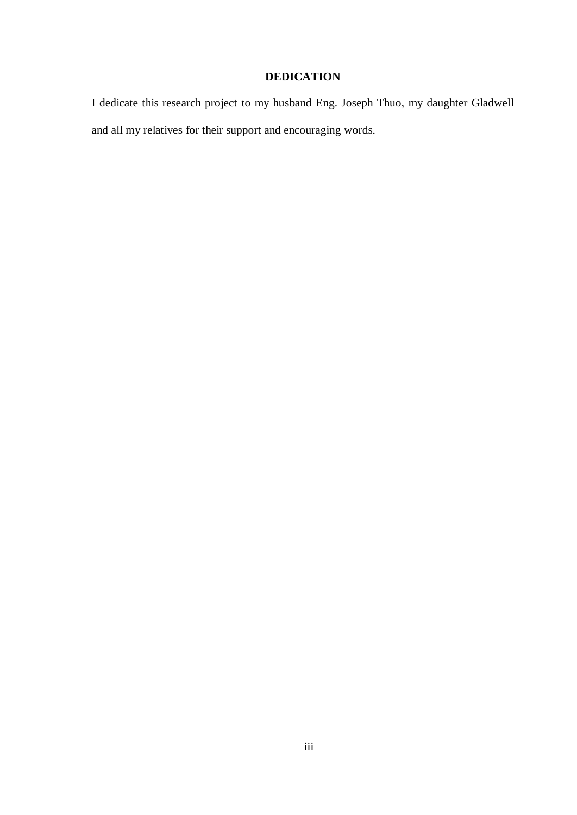## **DEDICATION**

I dedicate this research project to my husband Eng. Joseph Thuo, my daughter Gladwell and all my relatives for their support and encouraging words.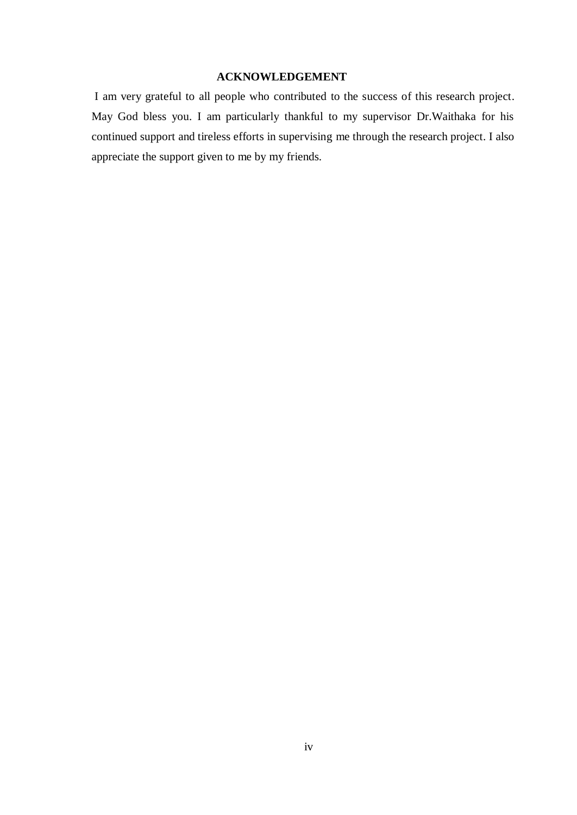#### **ACKNOWLEDGEMENT**

I am very grateful to all people who contributed to the success of this research project. May God bless you. I am particularly thankful to my supervisor Dr.Waithaka for his continued support and tireless efforts in supervising me through the research project. I also appreciate the support given to me by my friends.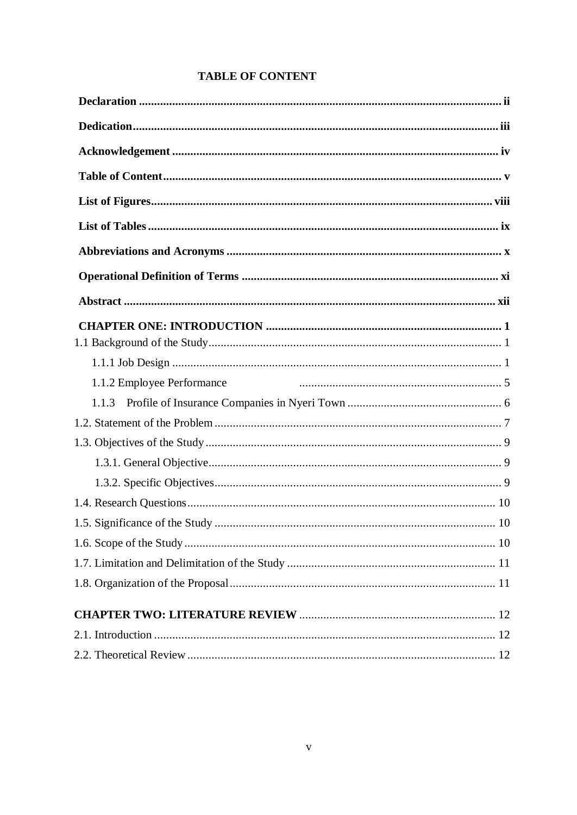| <b>TABLE OF CONTENT</b> |  |
|-------------------------|--|
|-------------------------|--|

| 1.1.2 Employee Performance |
|----------------------------|
| 1.1.3                      |
|                            |
|                            |
|                            |
|                            |
|                            |
|                            |
|                            |
|                            |
|                            |
|                            |
|                            |
|                            |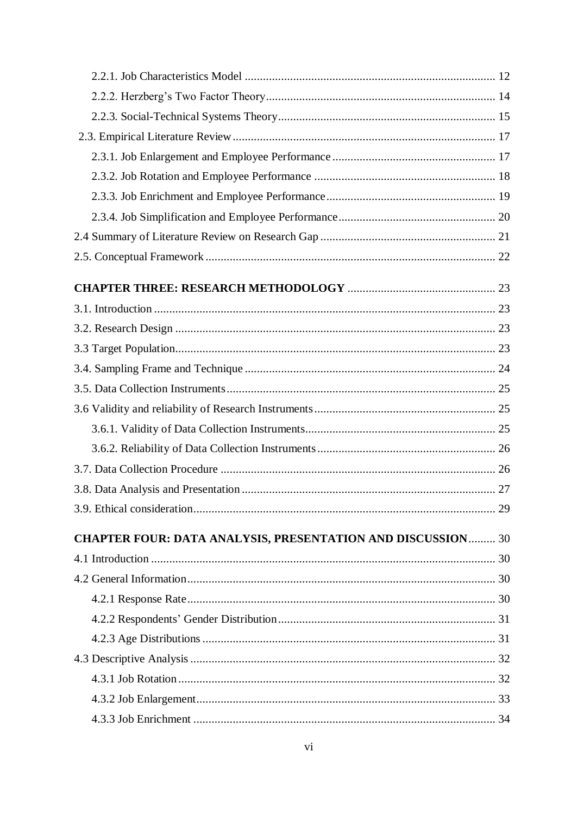| <b>CHAPTER FOUR: DATA ANALYSIS, PRESENTATION AND DISCUSSION 30</b> |  |
|--------------------------------------------------------------------|--|
|                                                                    |  |
|                                                                    |  |
|                                                                    |  |
|                                                                    |  |
|                                                                    |  |
|                                                                    |  |
|                                                                    |  |
|                                                                    |  |
|                                                                    |  |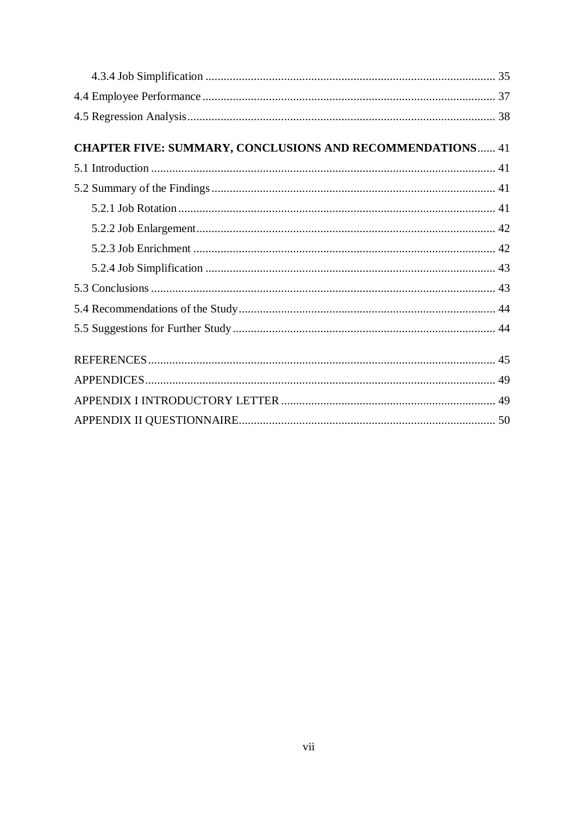| <b>CHAPTER FIVE: SUMMARY, CONCLUSIONS AND RECOMMENDATIONS 41</b> |  |
|------------------------------------------------------------------|--|
|                                                                  |  |
|                                                                  |  |
|                                                                  |  |
|                                                                  |  |
|                                                                  |  |
|                                                                  |  |
|                                                                  |  |
|                                                                  |  |
|                                                                  |  |
|                                                                  |  |
|                                                                  |  |
|                                                                  |  |
|                                                                  |  |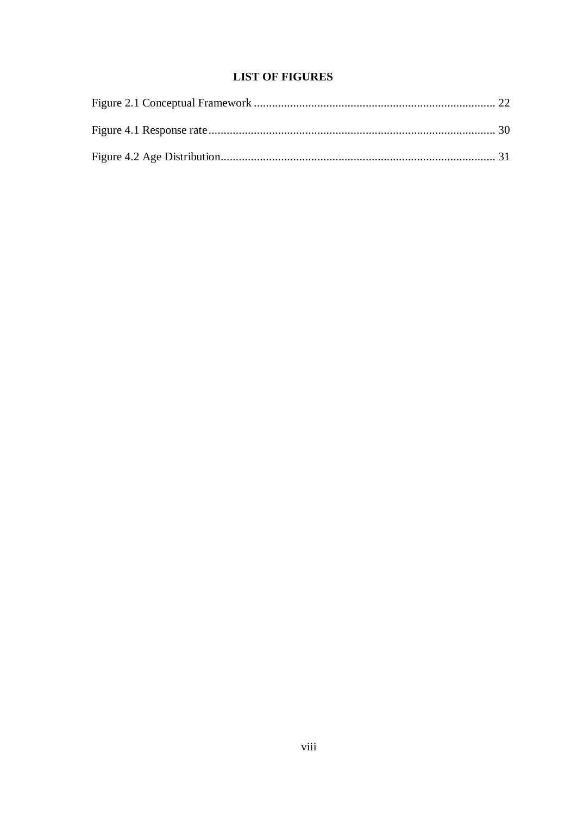## **LIST OF FIGURES**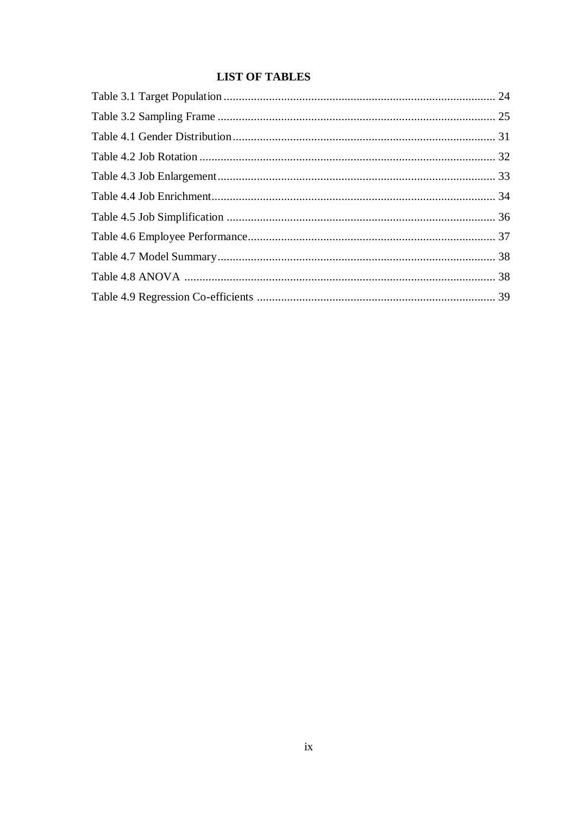## **LIST OF TABLES**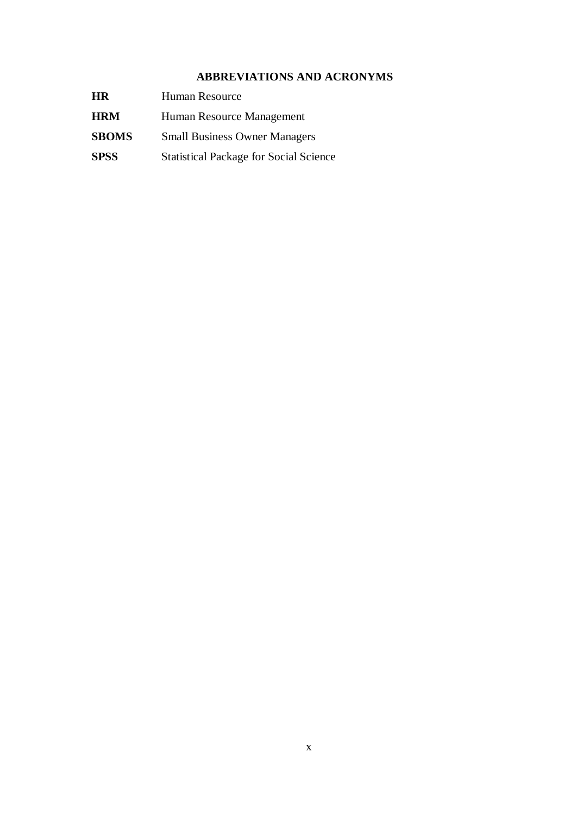## **ABBREVIATIONS AND ACRONYMS**

| <b>HR</b>    | Human Resource                                |
|--------------|-----------------------------------------------|
| <b>HRM</b>   | Human Resource Management                     |
| <b>SBOMS</b> | <b>Small Business Owner Managers</b>          |
| <b>SPSS</b>  | <b>Statistical Package for Social Science</b> |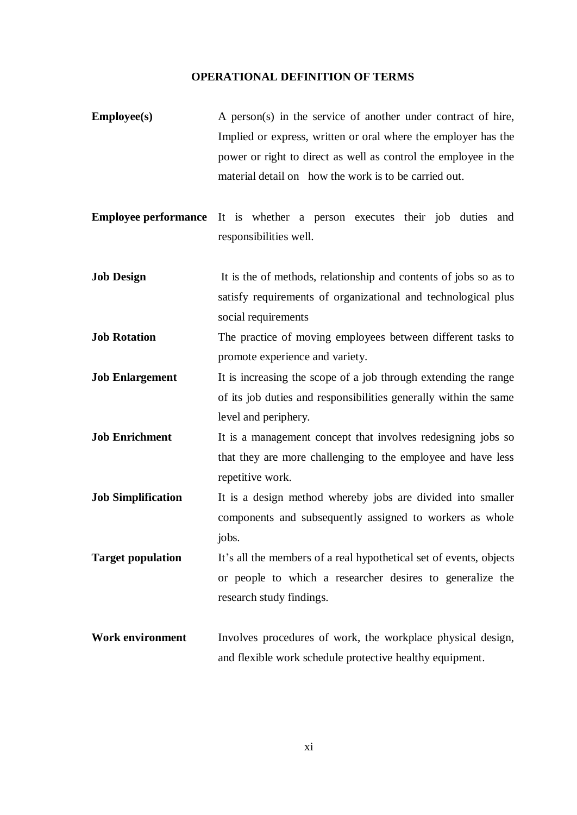#### **OPERATIONAL DEFINITION OF TERMS**

- **Employee(s)** A person(s) in the service of another under contract of hire, Implied or express, written or oral where the employer has the power or right to direct as well as control the employee in the material detail on how the work is to be carried out.
- **Employee performance** It is whether a person executes their job duties and responsibilities well.
- **Job Design** It is the of methods, relationship and contents of jobs so as to satisfy requirements of organizational and technological plus social requirements
- **Job Rotation** The practice of moving employees between different tasks to promote experience and variety.
- **Job Enlargement** It is increasing the scope of a job through extending the range of its job duties and responsibilities generally within the same level and periphery.
- **Job Enrichment** It is a management concept that involves redesigning jobs so that they are more challenging to the employee and have less repetitive work.
- **Job Simplification** It is a design method whereby jobs are divided into smaller components and subsequently assigned to workers as whole jobs.
- **Target population** It's all the members of a real hypothetical set of events, objects or people to which a researcher desires to generalize the research study findings.
- **Work environment** Involves procedures of work, the workplace physical design, and flexible work schedule protective healthy equipment.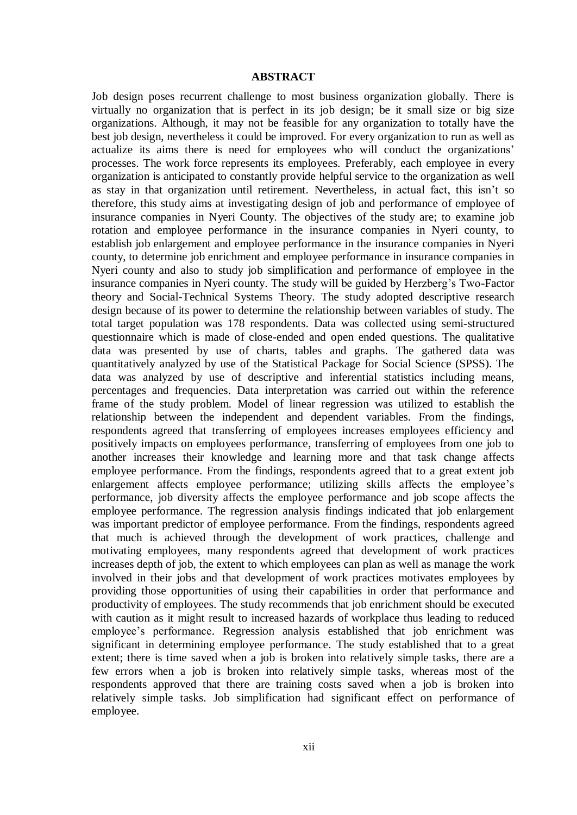#### **ABSTRACT**

Job design poses recurrent challenge to most business organization globally. There is virtually no organization that is perfect in its job design; be it small size or big size organizations. Although, it may not be feasible for any organization to totally have the best job design, nevertheless it could be improved*.* For every organization to run as well as actualize its aims there is need for employees who will conduct the organizations' processes. The work force represents its employees. Preferably, each employee in every organization is anticipated to constantly provide helpful service to the organization as well as stay in that organization until retirement. Nevertheless, in actual fact, this isn't so therefore, this study aims at investigating design of job and performance of employee of insurance companies in Nyeri County. The objectives of the study are; to examine job rotation and employee performance in the insurance companies in Nyeri county, to establish job enlargement and employee performance in the insurance companies in Nyeri county, to determine job enrichment and employee performance in insurance companies in Nyeri county and also to study job simplification and performance of employee in the insurance companies in Nyeri county. The study will be guided by Herzberg's Two-Factor theory and Social-Technical Systems Theory. The study adopted descriptive research design because of its power to determine the relationship between variables of study. The total target population was 178 respondents. Data was collected using semi-structured questionnaire which is made of close-ended and open ended questions. The qualitative data was presented by use of charts, tables and graphs. The gathered data was quantitatively analyzed by use of the Statistical Package for Social Science (SPSS). The data was analyzed by use of descriptive and inferential statistics including means, percentages and frequencies. Data interpretation was carried out within the reference frame of the study problem. Model of linear regression was utilized to establish the relationship between the independent and dependent variables. From the findings, respondents agreed that transferring of employees increases employees efficiency and positively impacts on employees performance, transferring of employees from one job to another increases their knowledge and learning more and that task change affects employee performance. From the findings, respondents agreed that to a great extent job enlargement affects employee performance; utilizing skills affects the employee's performance, job diversity affects the employee performance and job scope affects the employee performance. The regression analysis findings indicated that job enlargement was important predictor of employee performance. From the findings, respondents agreed that much is achieved through the development of work practices, challenge and motivating employees, many respondents agreed that development of work practices increases depth of job, the extent to which employees can plan as well as manage the work involved in their jobs and that development of work practices motivates employees by providing those opportunities of using their capabilities in order that performance and productivity of employees. The study recommends that job enrichment should be executed with caution as it might result to increased hazards of workplace thus leading to reduced employee's performance. Regression analysis established that job enrichment was significant in determining employee performance. The study established that to a great extent; there is time saved when a job is broken into relatively simple tasks, there are a few errors when a job is broken into relatively simple tasks, whereas most of the respondents approved that there are training costs saved when a job is broken into relatively simple tasks. Job simplification had significant effect on performance of employee.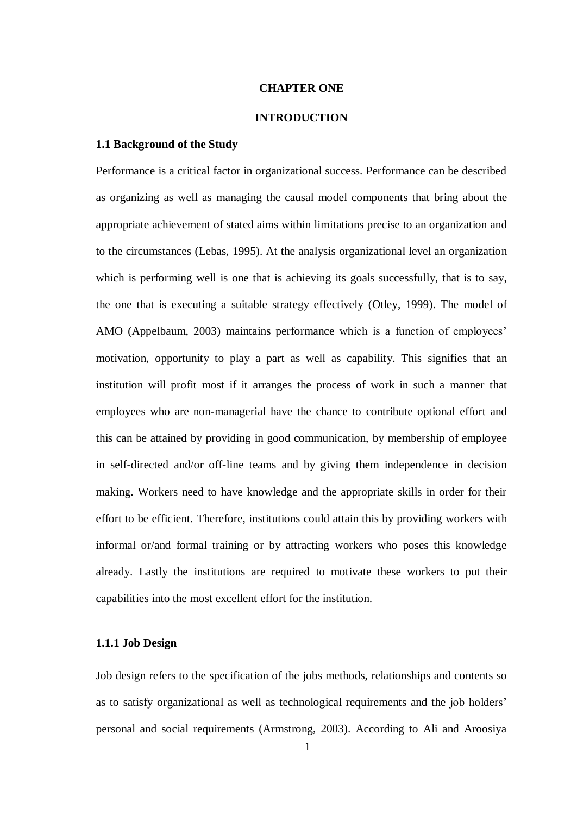#### **CHAPTER ONE**

#### **INTRODUCTION**

#### **1.1 Background of the Study**

Performance is a critical factor in organizational success. Performance can be described as organizing as well as managing the causal model components that bring about the appropriate achievement of stated aims within limitations precise to an organization and to the circumstances (Lebas, 1995). At the analysis organizational level an organization which is performing well is one that is achieving its goals successfully, that is to say, the one that is executing a suitable strategy effectively (Otley, 1999). The model of AMO (Appelbaum, 2003) maintains performance which is a function of employees' motivation, opportunity to play a part as well as capability. This signifies that an institution will profit most if it arranges the process of work in such a manner that employees who are non-managerial have the chance to contribute optional effort and this can be attained by providing in good communication, by membership of employee in self-directed and/or off-line teams and by giving them independence in decision making. Workers need to have knowledge and the appropriate skills in order for their effort to be efficient. Therefore, institutions could attain this by providing workers with informal or/and formal training or by attracting workers who poses this knowledge already. Lastly the institutions are required to motivate these workers to put their capabilities into the most excellent effort for the institution.

#### **1.1.1 Job Design**

Job design refers to the specification of the jobs methods, relationships and contents so as to satisfy organizational as well as technological requirements and the job holders' personal and social requirements (Armstrong, 2003). According to Ali and Aroosiya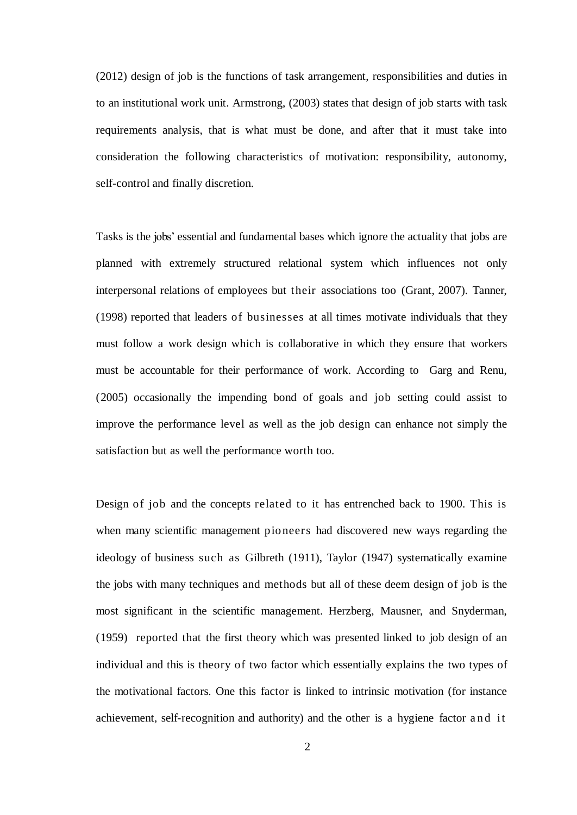(2012) design of job is the functions of task arrangement, responsibilities and duties in to an institutional work unit. Armstrong, (2003) states that design of job starts with task requirements analysis, that is what must be done, and after that it must take into consideration the following characteristics of motivation: responsibility, autonomy, self-control and finally discretion.

Tasks is the jobs' essential and fundamental bases which ignore the actuality that jobs are planned with extremely structured relational system which influences not only interpersonal relations of employees but their associations too (Grant, 2007). Tanner, (1998) reported that leaders of businesses at all times motivate individuals that they must follow a work design which is collaborative in which they ensure that workers must be accountable for their performance of work. According to Garg and Renu, (2005) occasionally the impending bond of goals and job setting could assist to improve the performance level as well as the job design can enhance not simply the satisfaction but as well the performance worth too.

Design of job and the concepts related to it has entrenched back to 1900. This is when many scientific management pioneers had discovered new ways regarding the ideology of business such as Gilbreth (1911), Taylor (1947) systematically examine the jobs with many techniques and methods but all of these deem design of job is the most significant in the scientific management. Herzberg, Mausner, and Snyderman, (1959) reported that the first theory which was presented linked to job design of an individual and this is theory of two factor which essentially explains the two types of the motivational factors. One this factor is linked to intrinsic motivation (for instance achievement, self-recognition and authority) and the other is a hygiene factor and it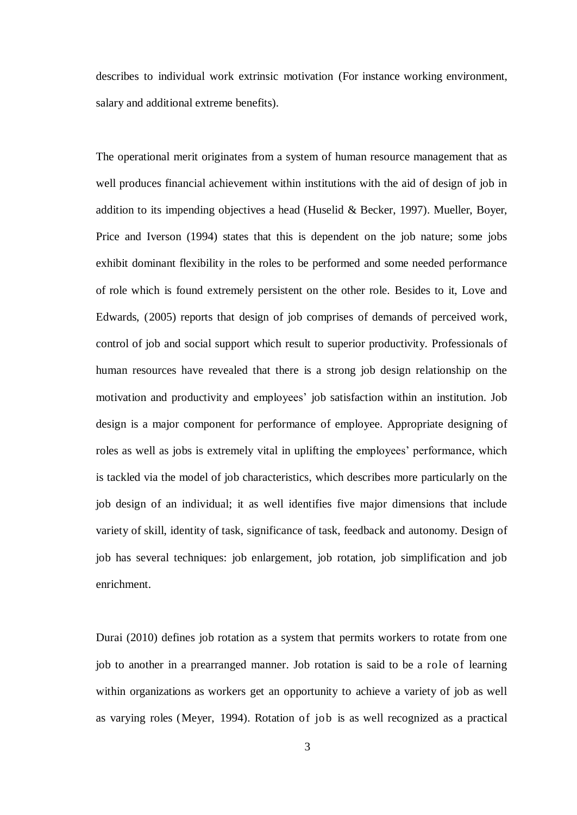describes to individual work extrinsic motivation (For instance working environment, salary and additional extreme benefits).

The operational merit originates from a system of human resource management that as well produces financial achievement within institutions with the aid of design of job in addition to its impending objectives a head (Huselid & Becker, 1997). Mueller, Boyer, Price and Iverson (1994) states that this is dependent on the job nature; some jobs exhibit dominant flexibility in the roles to be performed and some needed performance of role which is found extremely persistent on the other role. Besides to it, Love and Edwards, (2005) reports that design of job comprises of demands of perceived work, control of job and social support which result to superior productivity. Professionals of human resources have revealed that there is a strong job design relationship on the motivation and productivity and employees' job satisfaction within an institution. Job design is a major component for performance of employee. Appropriate designing of roles as well as jobs is extremely vital in uplifting the employees' performance, which is tackled via the model of job characteristics, which describes more particularly on the job design of an individual; it as well identifies five major dimensions that include variety of skill, identity of task, significance of task, feedback and autonomy. Design of job has several techniques: job enlargement, job rotation, job simplification and job enrichment.

Durai (2010) defines job rotation as a system that permits workers to rotate from one job to another in a prearranged manner. Job rotation is said to be a role of learning within organizations as workers get an opportunity to achieve a variety of job as well as varying roles (Meyer, 1994). Rotation of job is as well recognized as a practical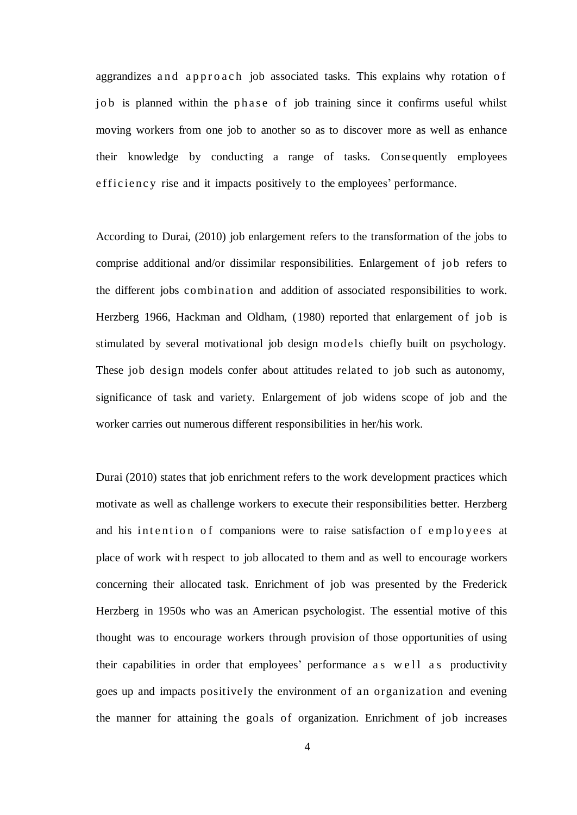aggrandizes and approach job associated tasks. This explains why rotation of job is planned within the phase of job training since it confirms useful whilst moving workers from one job to another so as to discover more as well as enhance their knowledge by conducting a range of tasks. Consequently employees e f ficiency rise and it impacts positively to the employees' performance.

According to Durai, (2010) job enlargement refers to the transformation of the jobs to comprise additional and/or dissimilar responsibilities. Enlargement of job refers to the different jobs combination and addition of associated responsibilities to work. Herzberg 1966, Hackman and Oldham, (1980) reported that enlargement of job is stimulated by several motivational job design models chiefly built on psychology. These job design models confer about attitudes related to job such as autonomy, significance of task and variety. Enlargement of job widens scope of job and the worker carries out numerous different responsibilities in her/his work.

Durai (2010) states that job enrichment refers to the work development practices which motivate as well as challenge workers to execute their responsibilities better. Herzberg and his intention of companions were to raise satisfaction of employees at place of work wit h respect to job allocated to them and as well to encourage workers concerning their allocated task. Enrichment of job was presented by the Frederick Herzberg in 1950s who was an American psychologist. The essential motive of this thought was to encourage workers through provision of those opportunities of using their capabilities in order that employees' performance as well as productivity goes up and impacts positively the environment of an organization and evening the manner for attaining the goals of organization. Enrichment of job increases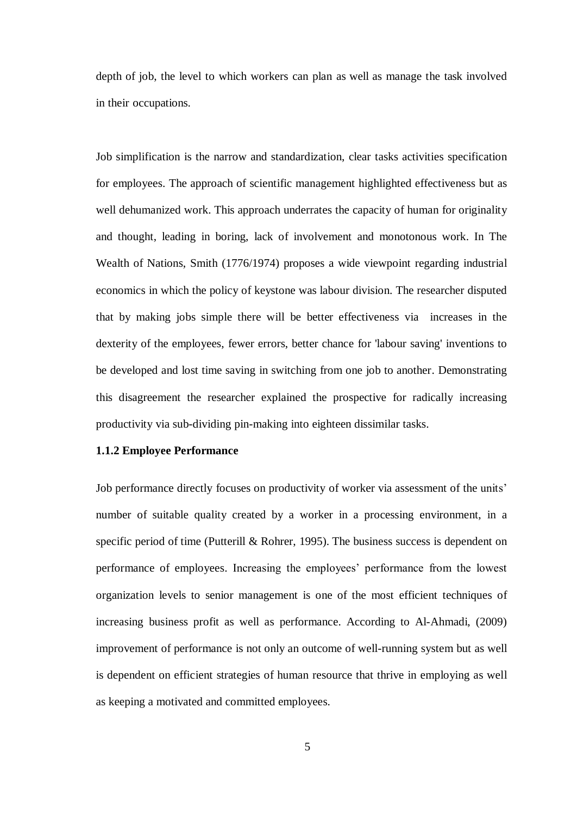depth of job, the level to which workers can plan as well as manage the task involved in their occupations.

Job simplification is the narrow and standardization, clear tasks activities specification for employees. The approach of scientific management highlighted effectiveness but as well dehumanized work. This approach underrates the capacity of human for originality and thought, leading in boring, lack of involvement and monotonous work. In The Wealth of Nations, Smith (1776/1974) proposes a wide viewpoint regarding industrial economics in which the policy of keystone was labour division. The researcher disputed that by making jobs simple there will be better effectiveness via increases in the dexterity of the employees, fewer errors, better chance for 'labour saving' inventions to be developed and lost time saving in switching from one job to another. Demonstrating this disagreement the researcher explained the prospective for radically increasing productivity via sub-dividing pin-making into eighteen dissimilar tasks.

#### **1.1.2 Employee Performance**

Job performance directly focuses on productivity of worker via assessment of the units' number of suitable quality created by a worker in a processing environment, in a specific period of time (Putterill & Rohrer, 1995). The business success is dependent on performance of employees. Increasing the employees' performance from the lowest organization levels to senior management is one of the most efficient techniques of increasing business profit as well as performance. According to Al-Ahmadi, (2009) improvement of performance is not only an outcome of well-running system but as well is dependent on efficient strategies of human resource that thrive in employing as well as keeping a motivated and committed employees.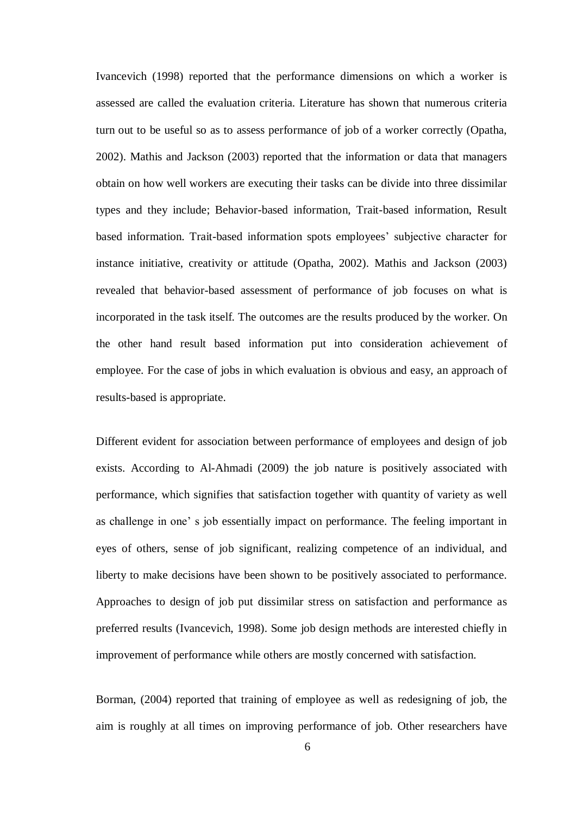Ivancevich (1998) reported that the performance dimensions on which a worker is assessed are called the evaluation criteria. Literature has shown that numerous criteria turn out to be useful so as to assess performance of job of a worker correctly (Opatha, 2002). Mathis and Jackson (2003) reported that the information or data that managers obtain on how well workers are executing their tasks can be divide into three dissimilar types and they include; Behavior-based information, Trait-based information, Result based information. Trait-based information spots employees' subjective character for instance initiative, creativity or attitude (Opatha, 2002). Mathis and Jackson (2003) revealed that behavior-based assessment of performance of job focuses on what is incorporated in the task itself. The outcomes are the results produced by the worker. On the other hand result based information put into consideration achievement of employee. For the case of jobs in which evaluation is obvious and easy, an approach of results-based is appropriate.

Different evident for association between performance of employees and design of job exists. According to Al-Ahmadi (2009) the job nature is positively associated with performance, which signifies that satisfaction together with quantity of variety as well as challenge in one' s job essentially impact on performance. The feeling important in eyes of others, sense of job significant, realizing competence of an individual, and liberty to make decisions have been shown to be positively associated to performance. Approaches to design of job put dissimilar stress on satisfaction and performance as preferred results (Ivancevich, 1998). Some job design methods are interested chiefly in improvement of performance while others are mostly concerned with satisfaction.

Borman, (2004) reported that training of employee as well as redesigning of job, the aim is roughly at all times on improving performance of job. Other researchers have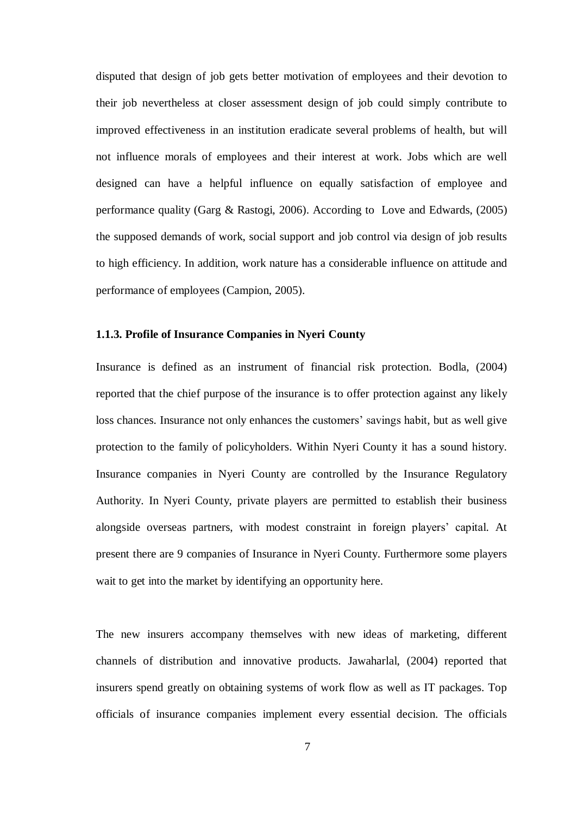disputed that design of job gets better motivation of employees and their devotion to their job nevertheless at closer assessment design of job could simply contribute to improved effectiveness in an institution eradicate several problems of health, but will not influence morals of employees and their interest at work. Jobs which are well designed can have a helpful influence on equally satisfaction of employee and performance quality (Garg & Rastogi, 2006). According to Love and Edwards, (2005) the supposed demands of work, social support and job control via design of job results to high efficiency. In addition, work nature has a considerable influence on attitude and performance of employees (Campion, 2005).

#### **1.1.3. Profile of Insurance Companies in Nyeri County**

Insurance is defined as an instrument of financial risk protection. Bodla, (2004) reported that the chief purpose of the insurance is to offer protection against any likely loss chances. Insurance not only enhances the customers' savings habit, but as well give protection to the family of policyholders. Within Nyeri County it has a sound history. Insurance companies in Nyeri County are controlled by the Insurance Regulatory Authority. In Nyeri County, private players are permitted to establish their business alongside overseas partners, with modest constraint in foreign players' capital. At present there are 9 companies of Insurance in Nyeri County. Furthermore some players wait to get into the market by identifying an opportunity here.

The new insurers accompany themselves with new ideas of marketing, different channels of distribution and innovative products. Jawaharlal, (2004) reported that insurers spend greatly on obtaining systems of work flow as well as IT packages. Top officials of insurance companies implement every essential decision. The officials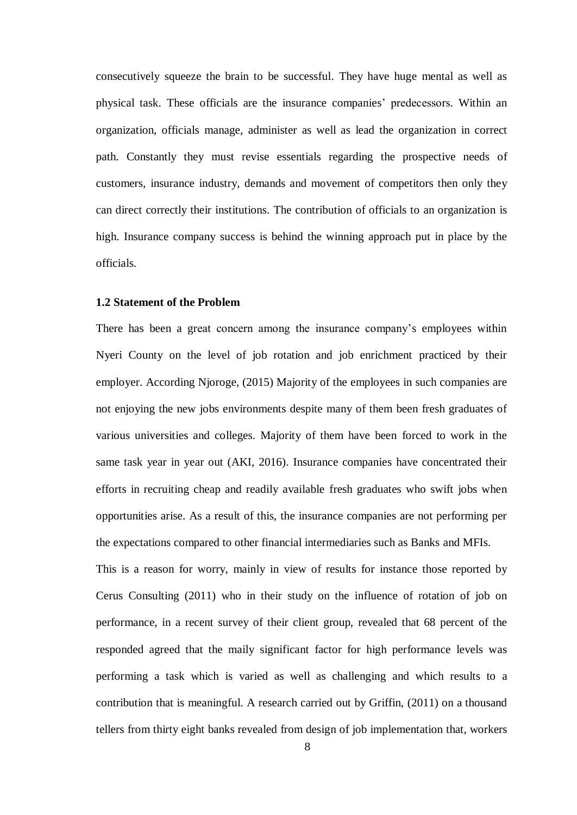consecutively squeeze the brain to be successful. They have huge mental as well as physical task. These officials are the insurance companies' predecessors. Within an organization, officials manage, administer as well as lead the organization in correct path. Constantly they must revise essentials regarding the prospective needs of customers, insurance industry, demands and movement of competitors then only they can direct correctly their institutions. The contribution of officials to an organization is high. Insurance company success is behind the winning approach put in place by the officials.

#### **1.2 Statement of the Problem**

There has been a great concern among the insurance company's employees within Nyeri County on the level of job rotation and job enrichment practiced by their employer. According Njoroge, (2015) Majority of the employees in such companies are not enjoying the new jobs environments despite many of them been fresh graduates of various universities and colleges. Majority of them have been forced to work in the same task year in year out (AKI, 2016). Insurance companies have concentrated their efforts in recruiting cheap and readily available fresh graduates who swift jobs when opportunities arise. As a result of this, the insurance companies are not performing per the expectations compared to other financial intermediaries such as Banks and MFIs.

This is a reason for worry, mainly in view of results for instance those reported by Cerus Consulting (2011) who in their study on the influence of rotation of job on performance, in a recent survey of their client group, revealed that 68 percent of the responded agreed that the maily significant factor for high performance levels was performing a task which is varied as well as challenging and which results to a contribution that is meaningful. A research carried out by Griffin, (2011) on a thousand tellers from thirty eight banks revealed from design of job implementation that, workers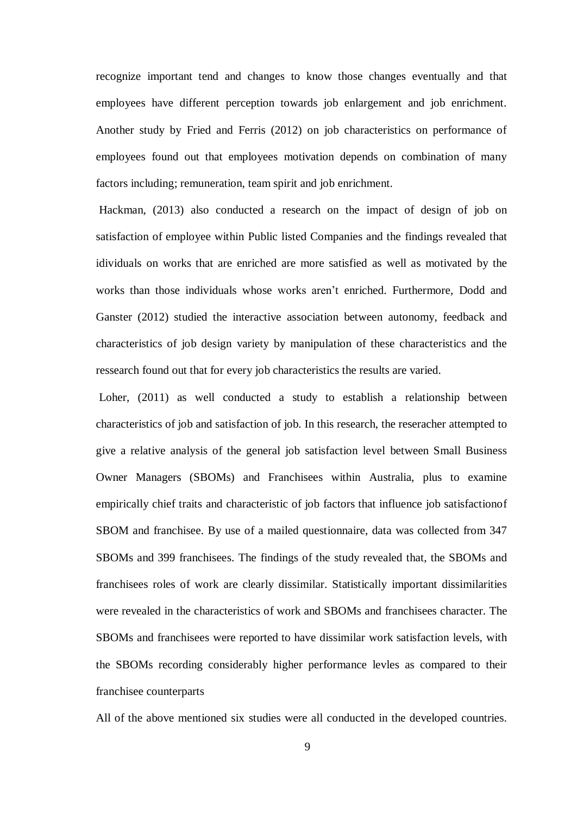recognize important tend and changes to know those changes eventually and that employees have different perception towards job enlargement and job enrichment. Another study by Fried and Ferris (2012) on job characteristics on performance of employees found out that employees motivation depends on combination of many factors including; remuneration, team spirit and job enrichment.

Hackman, (2013) also conducted a research on the impact of design of job on satisfaction of employee within Public listed Companies and the findings revealed that idividuals on works that are enriched are more satisfied as well as motivated by the works than those individuals whose works aren't enriched. Furthermore, Dodd and Ganster (2012) studied the interactive association between autonomy, feedback and characteristics of job design variety by manipulation of these characteristics and the ressearch found out that for every job characteristics the results are varied.

Loher, (2011) as well conducted a study to establish a relationship between characteristics of job and satisfaction of job. In this research, the reseracher attempted to give a relative analysis of the general job satisfaction level between Small Business Owner Managers (SBOMs) and Franchisees within Australia, plus to examine empirically chief traits and characteristic of job factors that influence job satisfactionof SBOM and franchisee. By use of a mailed questionnaire, data was collected from 347 SBOMs and 399 franchisees. The findings of the study revealed that, the SBOMs and franchisees roles of work are clearly dissimilar. Statistically important dissimilarities were revealed in the characteristics of work and SBOMs and franchisees character. The SBOMs and franchisees were reported to have dissimilar work satisfaction levels, with the SBOMs recording considerably higher performance levles as compared to their franchisee counterparts

All of the above mentioned six studies were all conducted in the developed countries.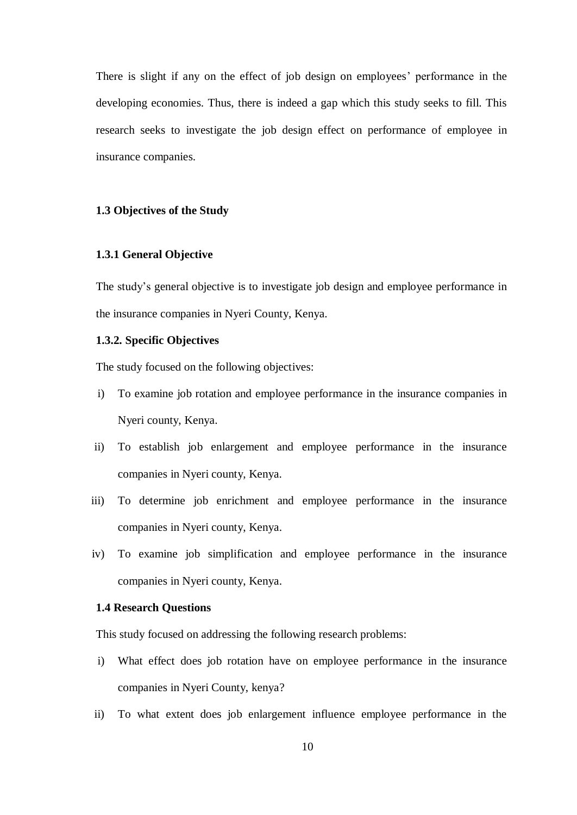There is slight if any on the effect of job design on employees' performance in the developing economies. Thus, there is indeed a gap which this study seeks to fill. This research seeks to investigate the job design effect on performance of employee in insurance companies.

#### **1.3 Objectives of the Study**

#### **1.3.1 General Objective**

The study's general objective is to investigate job design and employee performance in the insurance companies in Nyeri County, Kenya.

#### **1.3.2. Specific Objectives**

The study focused on the following objectives:

- i) To examine job rotation and employee performance in the insurance companies in Nyeri county, Kenya.
- ii) To establish job enlargement and employee performance in the insurance companies in Nyeri county, Kenya.
- iii) To determine job enrichment and employee performance in the insurance companies in Nyeri county, Kenya.
- iv) To examine job simplification and employee performance in the insurance companies in Nyeri county, Kenya.

#### **1.4 Research Questions**

This study focused on addressing the following research problems:

- i) What effect does job rotation have on employee performance in the insurance companies in Nyeri County, kenya?
- ii) To what extent does job enlargement influence employee performance in the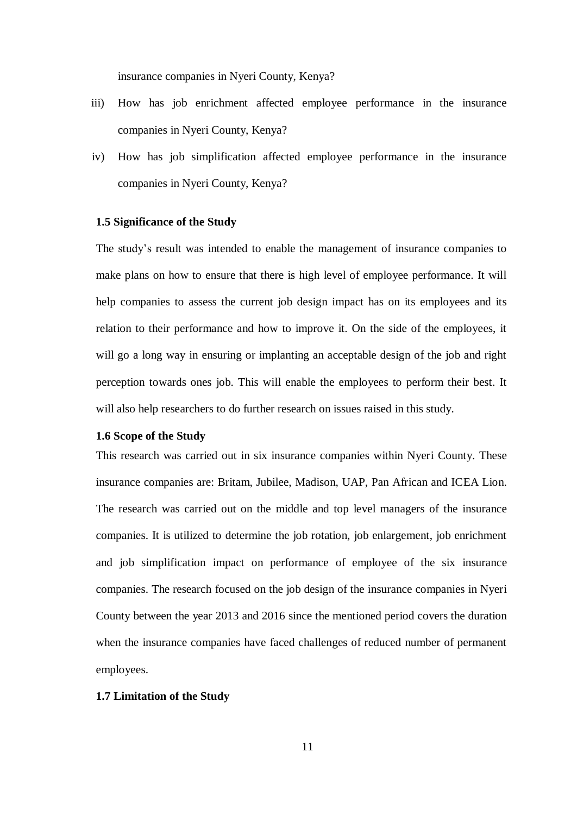insurance companies in Nyeri County, Kenya?

- iii) How has job enrichment affected employee performance in the insurance companies in Nyeri County, Kenya?
- iv) How has job simplification affected employee performance in the insurance companies in Nyeri County, Kenya?

#### **1.5 Significance of the Study**

The study's result was intended to enable the management of insurance companies to make plans on how to ensure that there is high level of employee performance. It will help companies to assess the current job design impact has on its employees and its relation to their performance and how to improve it. On the side of the employees, it will go a long way in ensuring or implanting an acceptable design of the job and right perception towards ones job. This will enable the employees to perform their best. It will also help researchers to do further research on issues raised in this study.

#### **1.6 Scope of the Study**

This research was carried out in six insurance companies within Nyeri County. These insurance companies are: Britam, Jubilee, Madison, UAP, Pan African and ICEA Lion. The research was carried out on the middle and top level managers of the insurance companies. It is utilized to determine the job rotation, job enlargement, job enrichment and job simplification impact on performance of employee of the six insurance companies. The research focused on the job design of the insurance companies in Nyeri County between the year 2013 and 2016 since the mentioned period covers the duration when the insurance companies have faced challenges of reduced number of permanent employees.

#### **1.7 Limitation of the Study**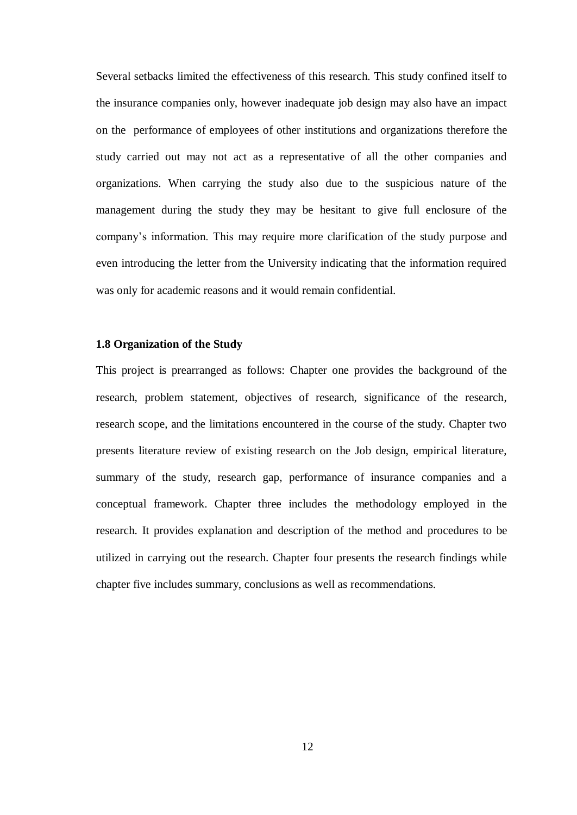Several setbacks limited the effectiveness of this research. This study confined itself to the insurance companies only, however inadequate job design may also have an impact on the performance of employees of other institutions and organizations therefore the study carried out may not act as a representative of all the other companies and organizations. When carrying the study also due to the suspicious nature of the management during the study they may be hesitant to give full enclosure of the company's information. This may require more clarification of the study purpose and even introducing the letter from the University indicating that the information required was only for academic reasons and it would remain confidential.

#### **1.8 Organization of the Study**

This project is prearranged as follows: Chapter one provides the background of the research, problem statement, objectives of research, significance of the research, research scope, and the limitations encountered in the course of the study. Chapter two presents literature review of existing research on the Job design, empirical literature, summary of the study, research gap, performance of insurance companies and a conceptual framework. Chapter three includes the methodology employed in the research. It provides explanation and description of the method and procedures to be utilized in carrying out the research. Chapter four presents the research findings while chapter five includes summary, conclusions as well as recommendations.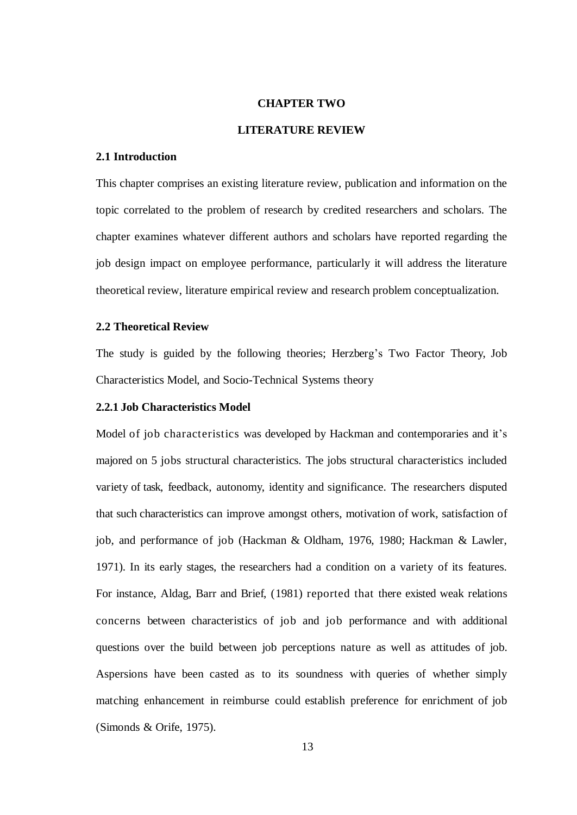#### **CHAPTER TWO**

#### **LITERATURE REVIEW**

#### **2.1 Introduction**

This chapter comprises an existing literature review, publication and information on the topic correlated to the problem of research by credited researchers and scholars. The chapter examines whatever different authors and scholars have reported regarding the job design impact on employee performance, particularly it will address the literature theoretical review, literature empirical review and research problem conceptualization.

#### **2.2 Theoretical Review**

The study is guided by the following theories; Herzberg's Two Factor Theory, Job Characteristics Model, and Socio-Technical Systems theory

#### **2.2.1 Job Characteristics Model**

Model of job characteristics was developed by Hackman and contemporaries and it's majored on 5 jobs structural characteristics. The jobs structural characteristics included variety of task, feedback, autonomy, identity and significance. The researchers disputed that such characteristics can improve amongst others, motivation of work, satisfaction of job, and performance of job (Hackman & Oldham, 1976, 1980; Hackman & Lawler, 1971). In its early stages, the researchers had a condition on a variety of its features. For instance, Aldag, Barr and Brief, (1981) reported that there existed weak relations concerns between characteristics of job and job performance and with additional questions over the build between job perceptions nature as well as attitudes of job. Aspersions have been casted as to its soundness with queries of whether simply matching enhancement in reimburse could establish preference for enrichment of job (Simonds & Orife, 1975).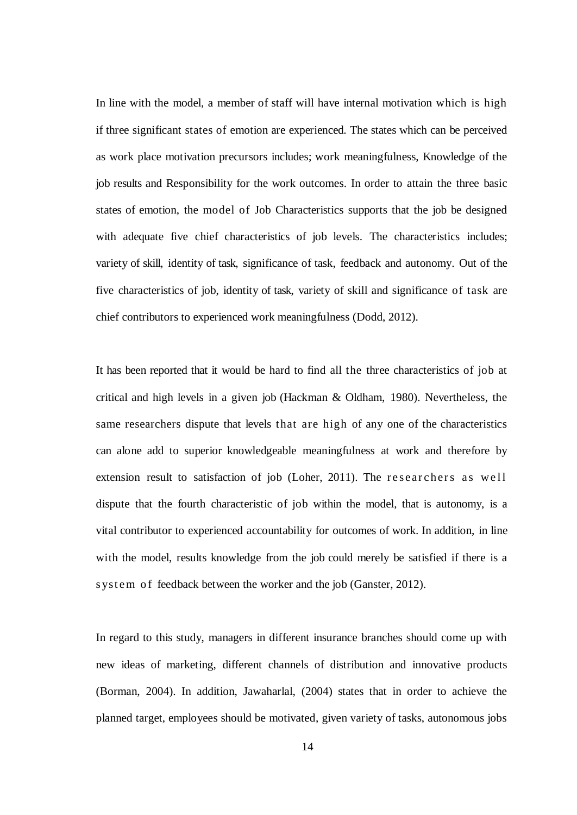In line with the model, a member of staff will have internal motivation which is high if three significant states of emotion are experienced. The states which can be perceived as work place motivation precursors includes; work meaningfulness, Knowledge of the job results and Responsibility for the work outcomes. In order to attain the three basic states of emotion, the model of Job Characteristics supports that the job be designed with adequate five chief characteristics of job levels. The characteristics includes; variety of skill, identity of task, significance of task, feedback and autonomy. Out of the five characteristics of job, identity of task, variety of skill and significance of task are chief contributors to experienced work meaningfulness (Dodd, 2012).

It has been reported that it would be hard to find all the three characteristics of job at critical and high levels in a given job (Hackman & Oldham, 1980). Nevertheless, the same researchers dispute that levels that are high of any one of the characteristics can alone add to superior knowledgeable meaningfulness at work and therefore by extension result to satisfaction of job (Loher, 2011). The researchers as well dispute that the fourth characteristic of job within the model, that is autonomy, is a vital contributor to experienced accountability for outcomes of work. In addition, in line with the model, results knowledge from the job could merely be satisfied if there is a s ystem of feedback between the worker and the job (Ganster, 2012).

In regard to this study, managers in different insurance branches should come up with new ideas of marketing, different channels of distribution and innovative products (Borman, 2004). In addition, Jawaharlal, (2004) states that in order to achieve the planned target, employees should be motivated, given variety of tasks, autonomous jobs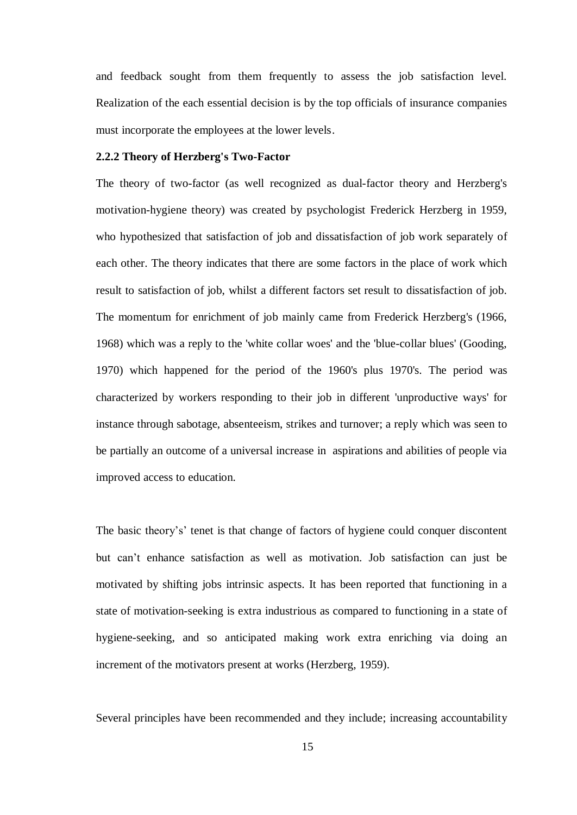and feedback sought from them frequently to assess the job satisfaction level. Realization of the each essential decision is by the top officials of insurance companies must incorporate the employees at the lower levels.

#### **2.2.2 Theory of Herzberg's Two-Factor**

The theory of two-factor (as well recognized as dual-factor theory and Herzberg's motivation-hygiene theory) was created by [psychologist](https://en.wikipedia.org/wiki/Psychologist) [Frederick Herzberg](https://en.wikipedia.org/wiki/Frederick_Herzberg) in 1959, who hypothesized that satisfaction of job and dissatisfaction of job work separately of each other. The theory indicates that there are some factors in the [place](https://en.wiktionary.org/wiki/Workplace) of work which result to satisfaction of job, whilst a different factors set result to dissatisfaction of job. The momentum for enrichment of job mainly came from Frederick Herzberg's (1966, 1968) which was a reply to the 'white collar woes' and the 'blue-collar blues' (Gooding, 1970) which happened for the period of the 1960's plus 1970's. The period was characterized by workers responding to their job in different 'unproductive ways' for instance through sabotage, absenteeism, strikes and turnover; a reply which was seen to be partially an outcome of a universal increase in aspirations and abilities of people via improved access to education.

The basic theory's' tenet is that change of factors of hygiene could conquer discontent but can't enhance satisfaction as well as motivation. Job satisfaction can just be motivated by shifting jobs intrinsic aspects. It has been reported that functioning in a state of motivation-seeking is extra industrious as compared to functioning in a state of hygiene-seeking, and so anticipated making work extra enriching via doing an increment of the motivators present at works (Herzberg, 1959).

Several principles have been recommended and they include; increasing accountability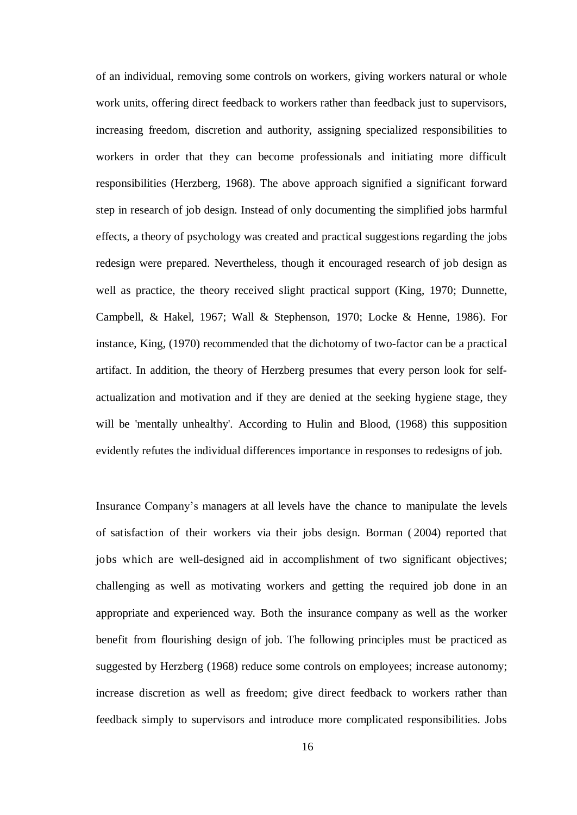of an individual, removing some controls on workers, giving workers natural or whole work units, offering direct feedback to workers rather than feedback just to supervisors, increasing freedom, discretion and authority, assigning specialized responsibilities to workers in order that they can become professionals and initiating more difficult responsibilities (Herzberg, 1968). The above approach signified a significant forward step in research of job design. Instead of only documenting the simplified jobs harmful effects, a theory of psychology was created and practical suggestions regarding the jobs redesign were prepared. Nevertheless, though it encouraged research of job design as well as practice, the theory received slight practical support (King, 1970; Dunnette, Campbell, & Hakel, 1967; Wall & Stephenson, 1970; Locke & Henne, 1986). For instance, King, (1970) recommended that the dichotomy of two-factor can be a practical artifact. In addition, the theory of Herzberg presumes that every person look for selfactualization and motivation and if they are denied at the seeking hygiene stage, they will be 'mentally unhealthy'. According to Hulin and Blood, (1968) this supposition evidently refutes the individual differences importance in responses to redesigns of job.

Insurance Company's managers at all levels have the chance to manipulate the levels of satisfaction of their workers via their jobs design. Borman ( 2004) reported that jobs which are well-designed aid in accomplishment of two significant objectives; challenging as well as motivating workers and getting the required job done in an appropriate and experienced way. Both the insurance company as well as the worker benefit from flourishing design of job. The following principles must be practiced as suggested by Herzberg (1968) reduce some controls on employees; increase autonomy; increase discretion as well as freedom; give direct feedback to workers rather than feedback simply to supervisors and introduce more complicated responsibilities. Jobs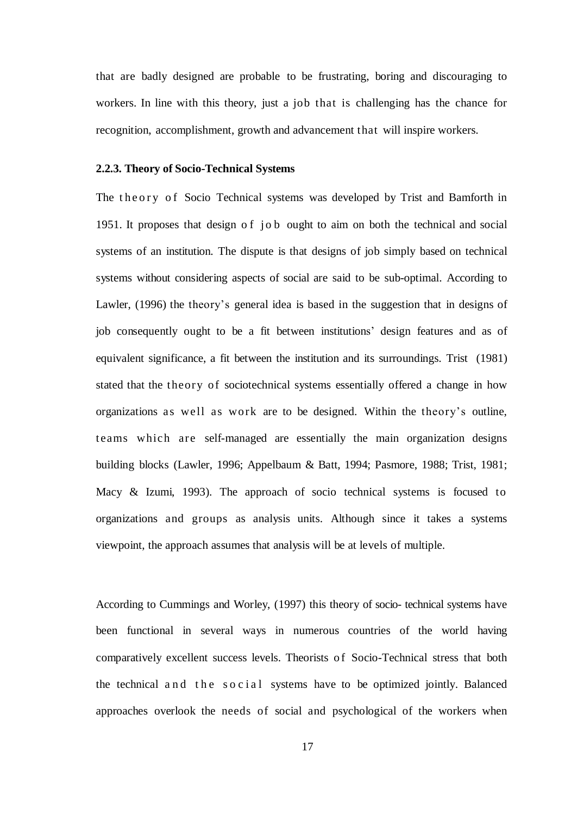that are badly designed are probable to be frustrating, boring and discouraging to workers. In line with this theory, just a job that is challenging has the chance for recognition, accomplishment, growth and advancement that will inspire workers.

#### **2.2.3. Theory of Socio-Technical Systems**

The theory of Socio Technical systems was developed by Trist and Bamforth in 1951. It proposes that design of job ought to aim on both the technical and social systems of an institution. The dispute is that designs of job simply based on technical systems without considering aspects of social are said to be sub-optimal. According to Lawler, (1996) the theory's general idea is based in the suggestion that in designs of job consequently ought to be a fit between institutions' design features and as of equivalent significance, a fit between the institution and its surroundings. Trist (1981) stated that the theory of sociotechnical systems essentially offered a change in how organizations as well as work are to be designed. Within the theory's outline, teams which are self-managed are essentially the main organization designs building blocks (Lawler, 1996; Appelbaum & Batt, 1994; Pasmore, 1988; Trist, 1981; Macy & Izumi, 1993). The approach of socio technical systems is focused to organizations and groups as analysis units. Although since it takes a systems viewpoint, the approach assumes that analysis will be at levels of multiple.

According to Cummings and Worley, (1997) this theory of socio- technical systems have been functional in several ways in numerous countries of the world having comparatively excellent success levels. Theorists of Socio-Technical stress that both the technical and the social systems have to be optimized jointly. Balanced approaches overlook the needs of social and psychological of the workers when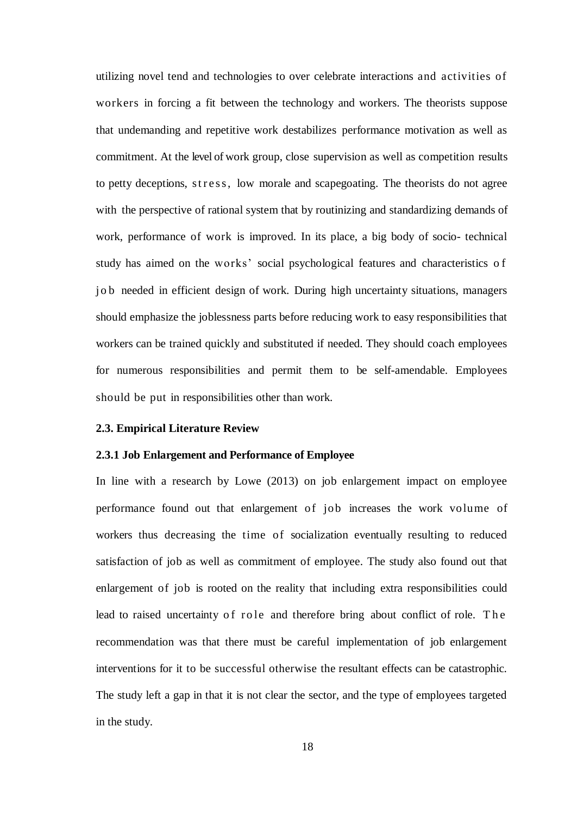utilizing novel tend and technologies to over celebrate interactions and activities of workers in forcing a fit between the technology and workers. The theorists suppose that undemanding and repetitive work destabilizes performance motivation as well as commitment. At the level of work group, close supervision as well as competition results to petty deceptions, stress, low morale and scapegoating. The theorists do not agree with the perspective of rational system that by routinizing and standardizing demands of work, performance of work is improved. In its place, a big body of socio- technical study has aimed on the works' social psychological features and characteristics o f jo b needed in efficient design of work. During high uncertainty situations, managers should emphasize the joblessness parts before reducing work to easy responsibilities that workers can be trained quickly and substituted if needed. They should coach employees for numerous responsibilities and permit them to be self-amendable. Employees should be put in responsibilities other than work.

#### **2.3. Empirical Literature Review**

#### **2.3.1 Job Enlargement and Performance of Employee**

In line with a research by Lowe (2013) on job enlargement impact on employee performance found out that enlargement of job increases the work volume of workers thus decreasing the time of socialization eventually resulting to reduced satisfaction of job as well as commitment of employee. The study also found out that enlargement of job is rooted on the reality that including extra responsibilities could lead to raised uncertainty of role and therefore bring about conflict of role. The recommendation was that there must be careful implementation of job enlargement interventions for it to be successful otherwise the resultant effects can be catastrophic. The study left a gap in that it is not clear the sector, and the type of employees targeted in the study.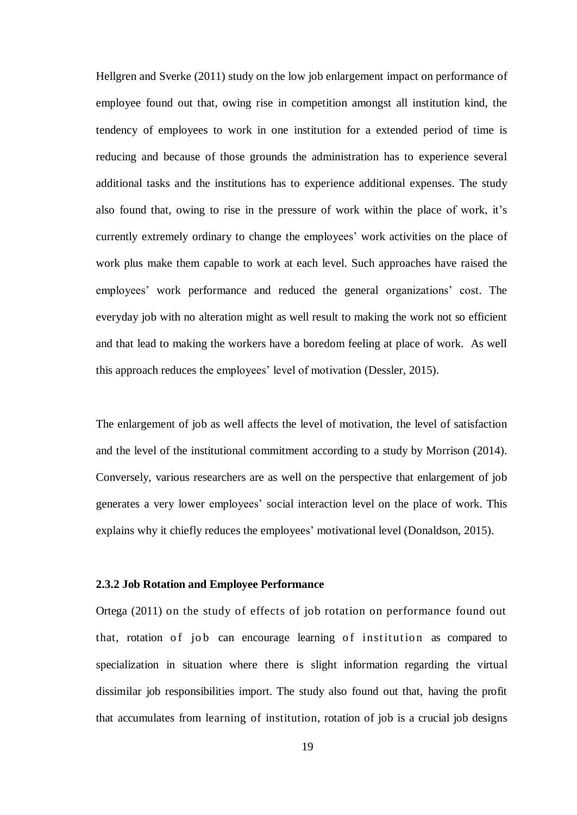Hellgren and Sverke (2011) study on the low job enlargement impact on performance of employee found out that, owing rise in competition amongst all institution kind, the tendency of employees to work in one institution for a extended period of time is reducing and because of those grounds the administration has to experience several additional tasks and the institutions has to experience additional expenses. The study also found that, owing to rise in the pressure of work within the place of work, it's currently extremely ordinary to change the employees' work activities on the place of work plus make them capable to work at each level. Such approaches have raised the employees' work performance and reduced the general organizations' cost. The everyday job with no alteration might as well result to making the work not so efficient and that lead to making the workers have a boredom feeling at place of work. As well this approach reduces the employees' level of motivation (Dessler, 2015).

The enlargement of job as well affects the level of motivation, the level of satisfaction and the level of the institutional commitment according to a study by Morrison (2014). Conversely, various researchers are as well on the perspective that enlargement of job generates a very lower employees' social interaction level on the place of work. This explains why it chiefly reduces the employees' motivational level (Donaldson, 2015).

#### **2.3.2 Job Rotation and Employee Performance**

Ortega (2011) on the study of effects of job rotation on performance found out that, rotation of job can encourage learning of institution as compared to specialization in situation where there is slight information regarding the virtual dissimilar job responsibilities import. The study also found out that, having the profit that accumulates from learning of institution, rotation of job is a crucial job designs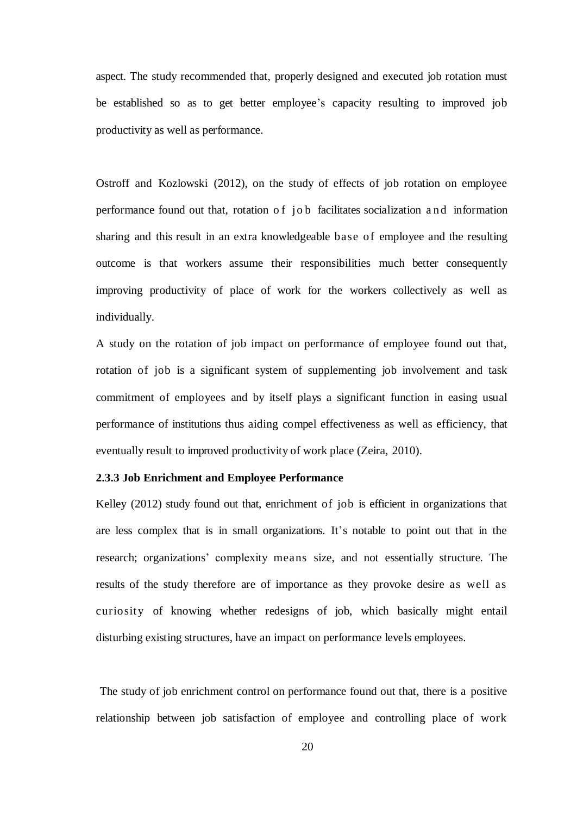aspect. The study recommended that, properly designed and executed job rotation must be established so as to get better employee's capacity resulting to improved job productivity as well as performance.

Ostroff and Kozlowski (2012), on the study of effects of job rotation on employee performance found out that, rotation of job facilitates socialization and information sharing and this result in an extra knowledgeable base of employee and the resulting outcome is that workers assume their responsibilities much better consequently improving productivity of place of work for the workers collectively as well as individually.

A study on the rotation of job impact on performance of employee found out that, rotation of job is a significant system of supplementing job involvement and task commitment of employees and by itself plays a significant function in easing usual performance of institutions thus aiding compel effectiveness as well as efficiency, that eventually result to improved productivity of work place (Zeira, 2010).

#### **2.3.3 Job Enrichment and Employee Performance**

Kelley (2012) study found out that, enrichment of job is efficient in organizations that are less complex that is in small organizations. It's notable to point out that in the research; organizations' complexity means size, and not essentially structure. The results of the study therefore are of importance as they provoke desire as well as curiosity of knowing whether redesigns of job, which basically might entail disturbing existing structures, have an impact on performance levels employees.

The study of job enrichment control on performance found out that, there is a positive relationship between job satisfaction of employee and controlling place of work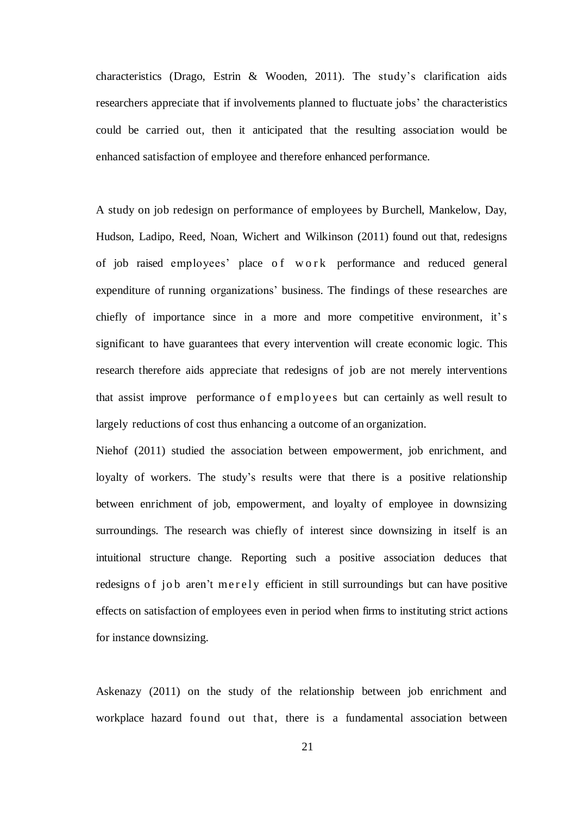characteristics (Drago, Estrin & Wooden, 2011). The study's clarification aids researchers appreciate that if involvements planned to fluctuate jobs' the characteristics could be carried out, then it anticipated that the resulting association would be enhanced satisfaction of employee and therefore enhanced performance.

A study on job redesign on performance of employees by Burchell, Mankelow, Day, Hudson, Ladipo, Reed, Noan, Wichert and Wilkinson (2011) found out that, redesigns of job raised employees' place of work performance and reduced general expenditure of running organizations' business. The findings of these researches are chiefly of importance since in a more and more competitive environment, it's significant to have guarantees that every intervention will create economic logic. This research therefore aids appreciate that redesigns of job are not merely interventions that assist improve performance of employees but can certainly as well result to largely reductions of cost thus enhancing a outcome of an organization.

Niehof (2011) studied the association between empowerment, job enrichment, and loyalty of workers. The study's results were that there is a positive relationship between enrichment of job, empowerment, and loyalty of employee in downsizing surroundings. The research was chiefly of interest since downsizing in itself is an intuitional structure change. Reporting such a positive association deduces that redesigns of job aren't me rely efficient in still surroundings but can have positive effects on satisfaction of employees even in period when firms to instituting strict actions for instance downsizing.

Askenazy (2011) on the study of the relationship between job enrichment and workplace hazard found out that, there is a fundamental association between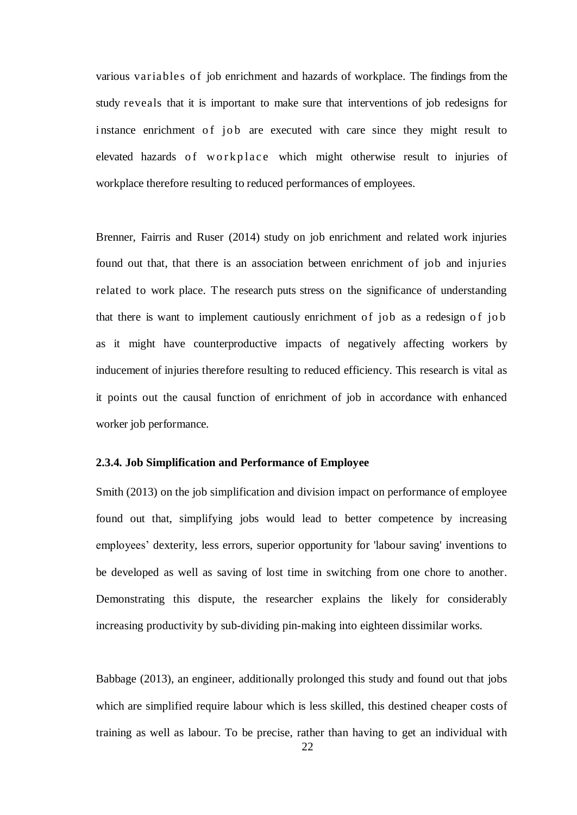various var iables of job enrichment and hazards of workplace. The findings from the study reveals that it is important to make sure that interventions of job redesigns for instance enrichment of job are executed with care since they might result to elevated hazards of w orkplace which might otherwise result to injuries of workplace therefore resulting to reduced performances of employees.

Brenner, Fairris and Ruser (2014) study on job enrichment and related work injuries found out that, that there is an association between enrichment of job and injuries related to work place. The research puts stress on the significance of understanding that there is want to implement cautiously enrichment of job as a redesign of job as it might have counterproductive impacts of negatively affecting workers by inducement of injuries therefore resulting to reduced efficiency. This research is vital as it points out the causal function of enrichment of job in accordance with enhanced worker job performance.

### **2.3.4. Job Simplification and Performance of Employee**

Smith (2013) on the job simplification and division impact on performance of employee found out that, simplifying jobs would lead to better competence by increasing employees' dexterity, less errors, superior opportunity for 'labour saving' inventions to be developed as well as saving of lost time in switching from one chore to another. Demonstrating this dispute, the researcher explains the likely for considerably increasing productivity by sub-dividing pin-making into eighteen dissimilar works.

Babbage (2013), an engineer, additionally prolonged this study and found out that jobs which are simplified require labour which is less skilled, this destined cheaper costs of training as well as labour. To be precise, rather than having to get an individual with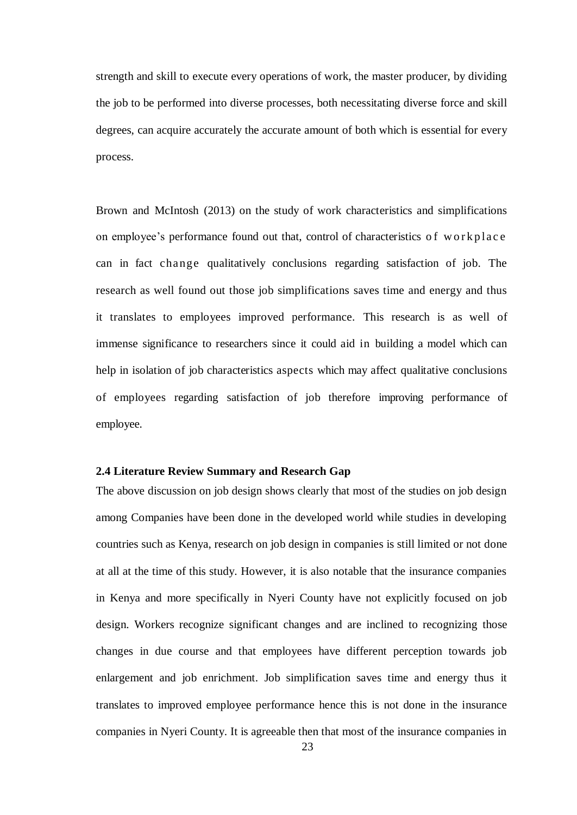strength and skill to execute every operations of work, the master producer, by dividing the job to be performed into diverse processes, both necessitating diverse force and skill degrees, can acquire accurately the accurate amount of both which is essential for every process.

Brown and McIntosh (2013) on the study of work characteristics and simplifications on employee's performance found out that, control of characteristics of workplace can in fact change qualitatively conclusions regarding satisfaction of job. The research as well found out those job simplifications saves time and energy and thus it translates to employees improved performance. This research is as well of immense significance to researchers since it could aid in building a model which can help in isolation of job characteristics aspects which may affect qualitative conclusions of employees regarding satisfaction of job therefore improving performance of employee.

#### **2.4 Literature Review Summary and Research Gap**

The above discussion on job design shows clearly that most of the studies on job design among Companies have been done in the developed world while studies in developing countries such as Kenya, research on job design in companies is still limited or not done at all at the time of this study. However, it is also notable that the insurance companies in Kenya and more specifically in Nyeri County have not explicitly focused on job design. Workers recognize significant changes and are inclined to recognizing those changes in due course and that employees have different perception towards job enlargement and job enrichment. Job simplification saves time and energy thus it translates to improved employee performance hence this is not done in the insurance companies in Nyeri County. It is agreeable then that most of the insurance companies in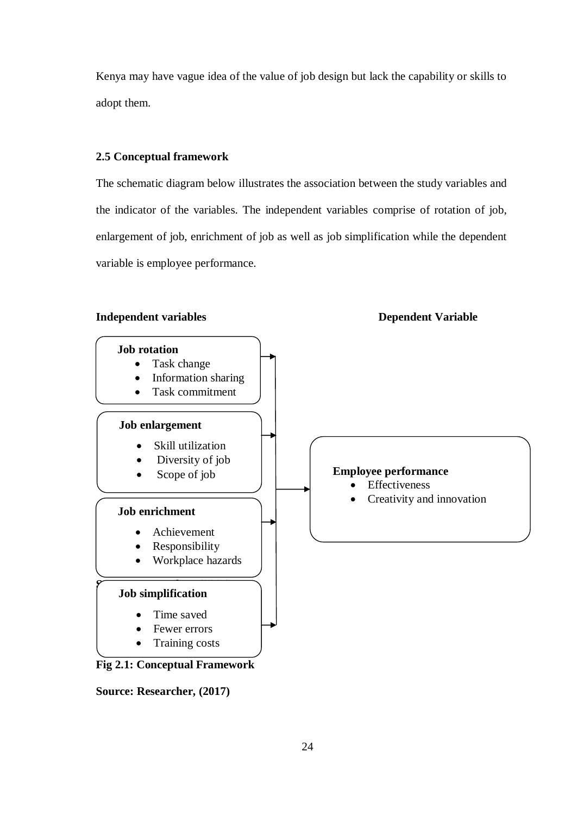Kenya may have vague idea of the value of job design but lack the capability or skills to adopt them.

#### **2.5 Conceptual framework**

The schematic diagram below illustrates the association between the study variables and the indicator of the variables. The independent variables comprise of rotation of job, enlargement of job, enrichment of job as well as job simplification while the dependent variable is employee performance.

#### **Independent variables Dependent Variable**



**Source: Researcher, (2017)**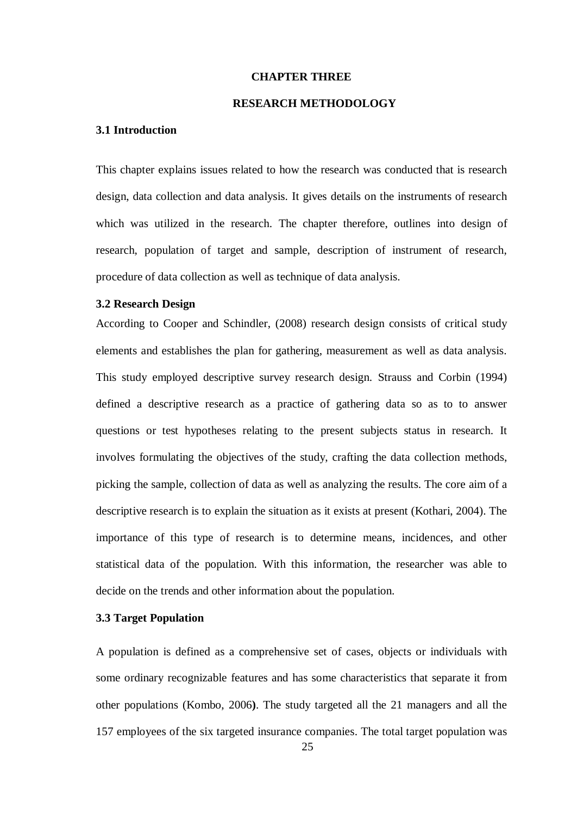#### **CHAPTER THREE**

#### **RESEARCH METHODOLOGY**

#### **3.1 Introduction**

This chapter explains issues related to how the research was conducted that is research design, data collection and data analysis. It gives details on the instruments of research which was utilized in the research. The chapter therefore, outlines into design of research, population of target and sample, description of instrument of research, procedure of data collection as well as technique of data analysis.

#### **3.2 Research Design**

According to Cooper and Schindler, (2008) research design consists of critical study elements and establishes the plan for gathering, measurement as well as data analysis. This study employed descriptive survey research design. Strauss and Corbin (1994) defined a descriptive research as a practice of gathering data so as to to answer questions or test hypotheses relating to the present subjects status in research. It involves formulating the objectives of the study, crafting the data collection methods, picking the sample, collection of data as well as analyzing the results. The core aim of a descriptive research is to explain the situation as it exists at present (Kothari, 2004). The importance of this type of research is to determine means, incidences, and other statistical data of the population. With this information, the researcher was able to decide on the trends and other information about the population.

#### **3.3 Target Population**

A population is defined as a comprehensive set of cases, objects or individuals with some ordinary recognizable features and has some characteristics that separate it from other populations (Kombo, 2006**)**. The study targeted all the 21 managers and all the 157 employees of the six targeted insurance companies. The total target population was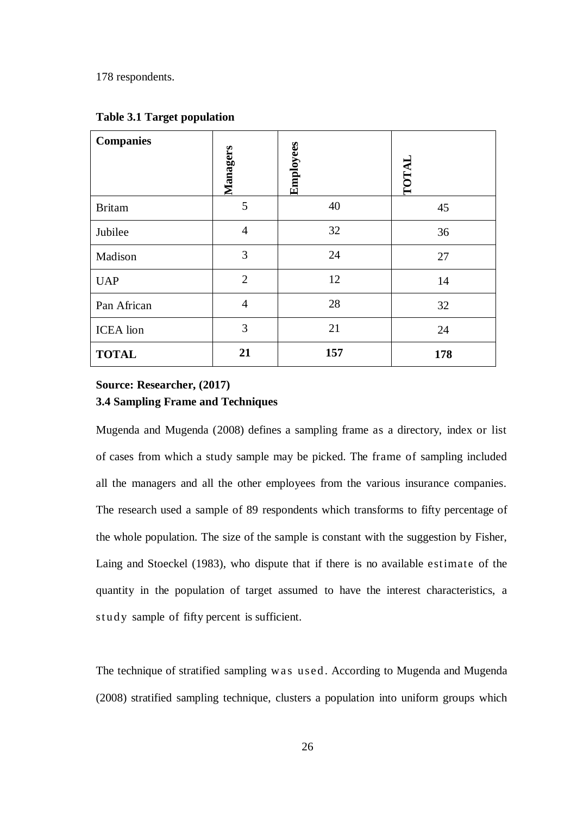178 respondents.

| <b>Companies</b> | Managers       | Employees | TOTAL |
|------------------|----------------|-----------|-------|
| <b>Britam</b>    | 5              | 40        | 45    |
| Jubilee          | $\overline{4}$ | 32        | 36    |
| Madison          | 3              | 24        | 27    |
| <b>UAP</b>       | $\overline{2}$ | 12        | 14    |
| Pan African      | $\overline{4}$ | 28        | 32    |
| <b>ICEA</b> lion | 3              | 21        | 24    |
| <b>TOTAL</b>     | 21             | 157       | 178   |

#### **Table 3.1 Target population**

## **Source: Researcher, (2017) 3.4 Sampling Frame and Techniques**

Mugenda and Mugenda (2008) defines a sampling frame as a directory, index or list of cases from which a study sample may be picked. The frame of sampling included all the managers and all the other employees from the various insurance companies. The research used a sample of 89 respondents which transforms to fifty percentage of the whole population. The size of the sample is constant with the suggestion by Fisher, Laing and Stoeckel (1983), who dispute that if there is no available estimate of the quantity in the population of target assumed to have the interest characteristics, a study sample of fifty percent is sufficient.

The technique of stratified sampling was used. According to Mugenda and Mugenda (2008) stratified sampling technique, clusters a population into uniform groups which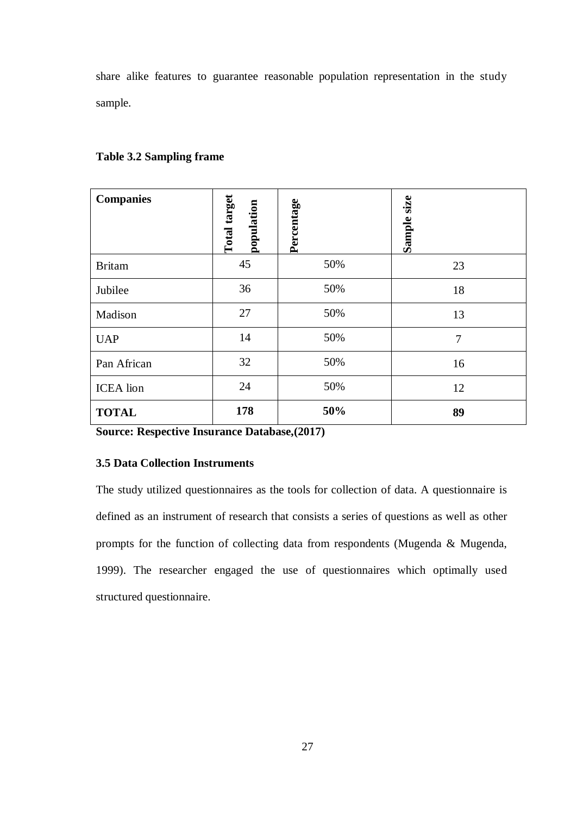share alike features to guarantee reasonable population representation in the study sample.

| <b>Companies</b> | <b>Total target</b><br>population | Percentage | Sample size    |
|------------------|-----------------------------------|------------|----------------|
| <b>Britam</b>    | 45                                | 50%        | 23             |
| Jubilee          | 36                                | 50%        | 18             |
| Madison          | 27                                | 50%        | 13             |
| <b>UAP</b>       | 14                                | 50%        | $\overline{7}$ |
| Pan African      | 32                                | 50%        | 16             |
| <b>ICEA</b> lion | 24                                | 50%        | 12             |
| <b>TOTAL</b>     | 178                               | 50%        | 89             |

#### **Table 3.2 Sampling frame**

**Source: Respective Insurance Database,(2017)**

## **3.5 Data Collection Instruments**

The study utilized questionnaires as the tools for collection of data. A questionnaire is defined as an instrument of research that consists a series of questions as well as other prompts for the function of collecting data from respondents (Mugenda & Mugenda, 1999). The researcher engaged the use of questionnaires which optimally used structured questionnaire.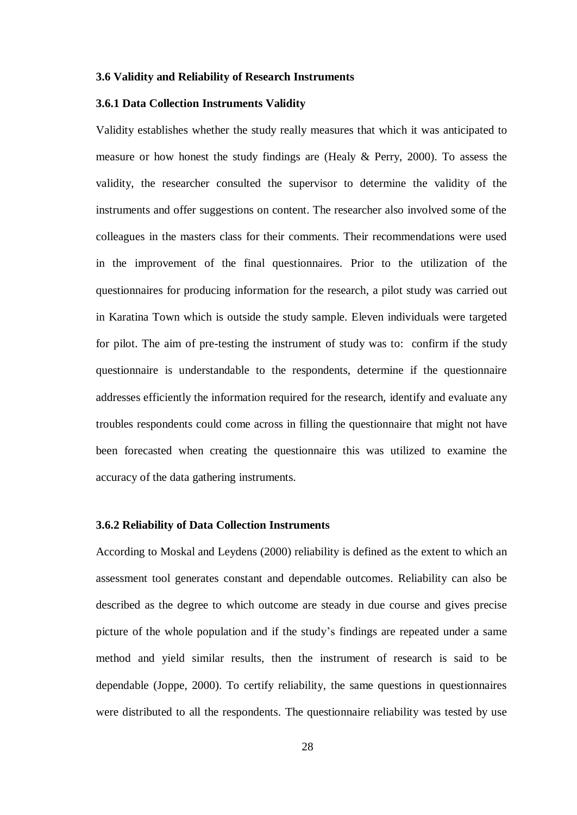#### **3.6 Validity and Reliability of Research Instruments**

#### **3.6.1 Data Collection Instruments Validity**

Validity establishes whether the study really measures that which it was anticipated to measure or how honest the study findings are (Healy & Perry, 2000). To assess the validity, the researcher consulted the supervisor to determine the validity of the instruments and offer suggestions on content. The researcher also involved some of the colleagues in the masters class for their comments. Their recommendations were used in the improvement of the final questionnaires. Prior to the utilization of the questionnaires for producing information for the research, a pilot study was carried out in Karatina Town which is outside the study sample. Eleven individuals were targeted for pilot. The aim of pre-testing the instrument of study was to: confirm if the study questionnaire is understandable to the respondents, determine if the questionnaire addresses efficiently the information required for the research, identify and evaluate any troubles respondents could come across in filling the questionnaire that might not have been forecasted when creating the questionnaire this was utilized to examine the accuracy of the data gathering instruments.

#### **3.6.2 Reliability of Data Collection Instruments**

According to Moskal and Leydens (2000) reliability is defined as the extent to which an assessment tool generates constant and dependable outcomes. Reliability can also be described as the degree to which outcome are steady in due course and gives precise picture of the whole population and if the study's findings are repeated under a same method and yield similar results, then the instrument of research is said to be dependable (Joppe, 2000). To certify reliability, the same questions in questionnaires were distributed to all the respondents. The questionnaire reliability was tested by use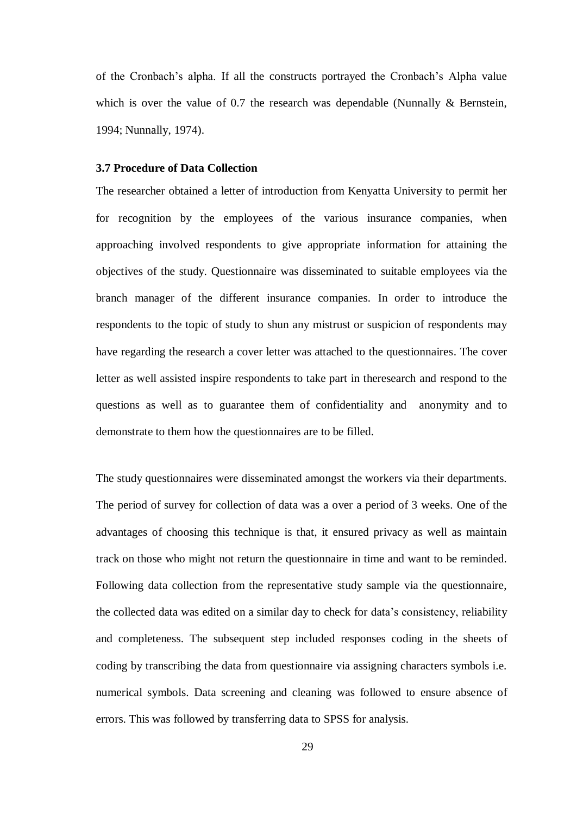of the Cronbach's alpha. If all the constructs portrayed the Cronbach's Alpha value which is over the value of 0.7 the research was dependable (Nunnally  $&$  Bernstein, 1994; Nunnally, 1974).

#### **3.7 Procedure of Data Collection**

The researcher obtained a letter of introduction from Kenyatta University to permit her for recognition by the employees of the various insurance companies, when approaching involved respondents to give appropriate information for attaining the objectives of the study. Questionnaire was disseminated to suitable employees via the branch manager of the different insurance companies. In order to introduce the respondents to the topic of study to shun any mistrust or suspicion of respondents may have regarding the research a cover letter was attached to the questionnaires. The cover letter as well assisted inspire respondents to take part in theresearch and respond to the questions as well as to guarantee them of confidentiality and anonymity and to demonstrate to them how the questionnaires are to be filled.

The study questionnaires were disseminated amongst the workers via their departments. The period of survey for collection of data was a over a period of 3 weeks. One of the advantages of choosing this technique is that, it ensured privacy as well as maintain track on those who might not return the questionnaire in time and want to be reminded. Following data collection from the representative study sample via the questionnaire, the collected data was edited on a similar day to check for data's consistency, reliability and completeness. The subsequent step included responses coding in the sheets of coding by transcribing the data from questionnaire via assigning characters symbols i.e. numerical symbols. Data screening and cleaning was followed to ensure absence of errors. This was followed by transferring data to SPSS for analysis.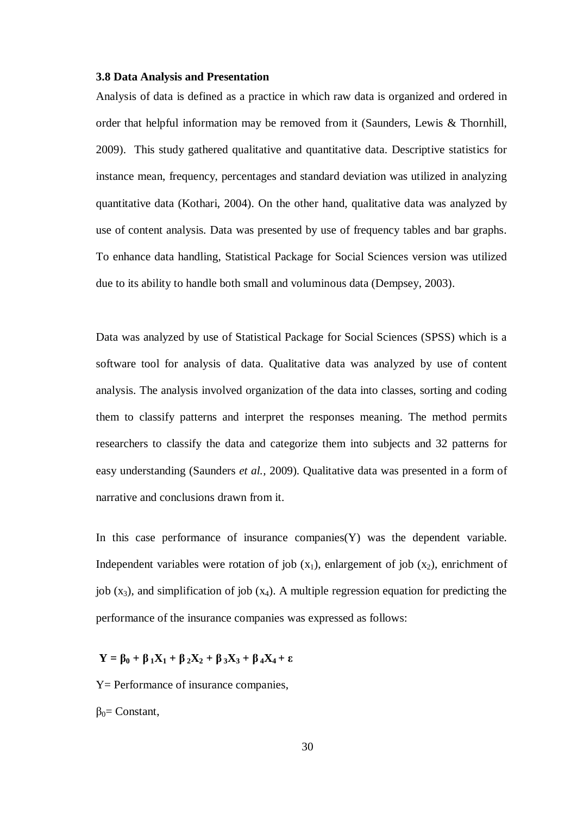#### **3.8 Data Analysis and Presentation**

Analysis of data is defined as a practice in which raw data is organized and ordered in order that helpful information may be removed from it (Saunders, Lewis & Thornhill, 2009). This study gathered qualitative and quantitative data. Descriptive statistics for instance mean, frequency, percentages and standard deviation was utilized in analyzing quantitative data (Kothari, 2004). On the other hand, qualitative data was analyzed by use of content analysis. Data was presented by use of frequency tables and bar graphs. To enhance data handling, Statistical Package for Social Sciences version was utilized due to its ability to handle both small and voluminous data (Dempsey, 2003).

Data was analyzed by use of Statistical Package for Social Sciences (SPSS) which is a software tool for analysis of data. Qualitative data was analyzed by use of content analysis. The analysis involved organization of the data into classes, sorting and coding them to classify patterns and interpret the responses meaning. The method permits researchers to classify the data and categorize them into subjects and 32 patterns for easy understanding (Saunders *et al.,* 2009). Qualitative data was presented in a form of narrative and conclusions drawn from it.

In this case performance of insurance companies $(Y)$  was the dependent variable. Independent variables were rotation of job  $(x_1)$ , enlargement of job  $(x_2)$ , enrichment of job  $(x_3)$ , and simplification of job  $(x_4)$ . A multiple regression equation for predicting the performance of the insurance companies was expressed as follows:

#### $Y = \beta_0 + \beta_1 X_1 + \beta_2 X_2 + \beta_3 X_3 + \beta_4 X_4 + \varepsilon$

Y = Performance of insurance companies,

 $β<sub>0</sub>=$  Constant,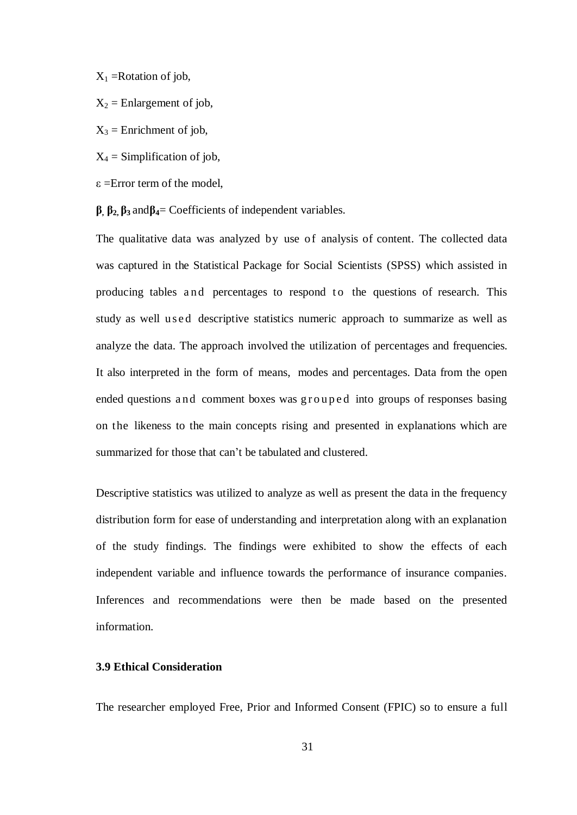$X_1$  = Rotation of job,

- $X_2$  = Enlargement of job,
- $X_3$  = Enrichment of job,
- $X_4$  = Simplification of job,
- $\epsilon$  =Error term of the model,
- **β, β2, β3** and**β4**= Coefficients of independent variables.

The qualitative data was analyzed by use of analysis of content. The collected data was captured in the Statistical Package for Social Scientists (SPSS) which assisted in producing tables and percentages to respond to the questions of research. This study as well used descriptive statistics numeric approach to summarize as well as analyze the data. The approach involved the utilization of percentages and frequencies. It also interpreted in the form of means, modes and percentages. Data from the open ended questions and comment boxes was grouped into groups of responses basing on the likeness to the main concepts rising and presented in explanations which are summarized for those that can't be tabulated and clustered.

Descriptive statistics was utilized to analyze as well as present the data in the frequency distribution form for ease of understanding and interpretation along with an explanation of the study findings. The findings were exhibited to show the effects of each independent variable and influence towards the performance of insurance companies. Inferences and recommendations were then be made based on the presented information.

#### **3.9 Ethical Consideration**

The researcher employed Free, Prior and Informed Consent (FPIC) so to ensure a full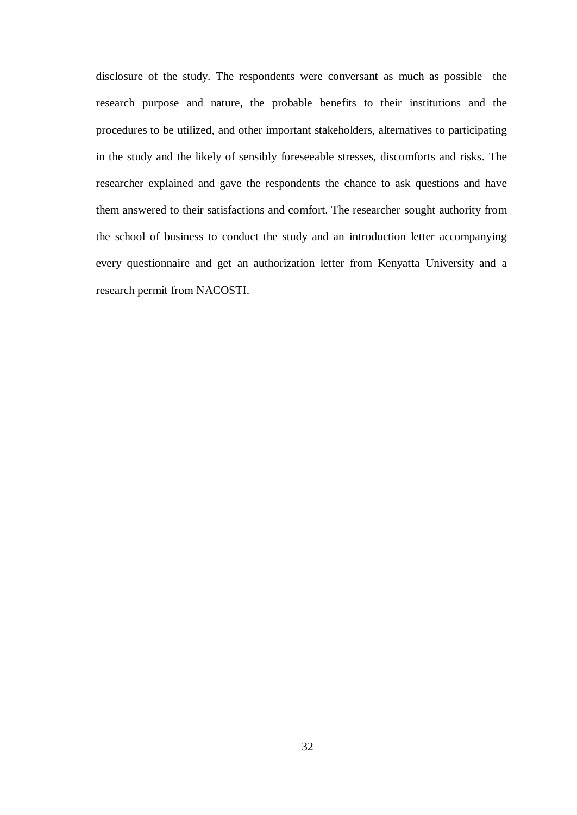disclosure of the study. The respondents were conversant as much as possible the research purpose and nature, the probable benefits to their institutions and the procedures to be utilized, and other important stakeholders, alternatives to participating in the study and the likely of sensibly foreseeable stresses, discomforts and risks. The researcher explained and gave the respondents the chance to ask questions and have them answered to their satisfactions and comfort. The researcher sought authority from the school of business to conduct the study and an introduction letter accompanying every questionnaire and get an authorization letter from Kenyatta University and a research permit from NACOSTI.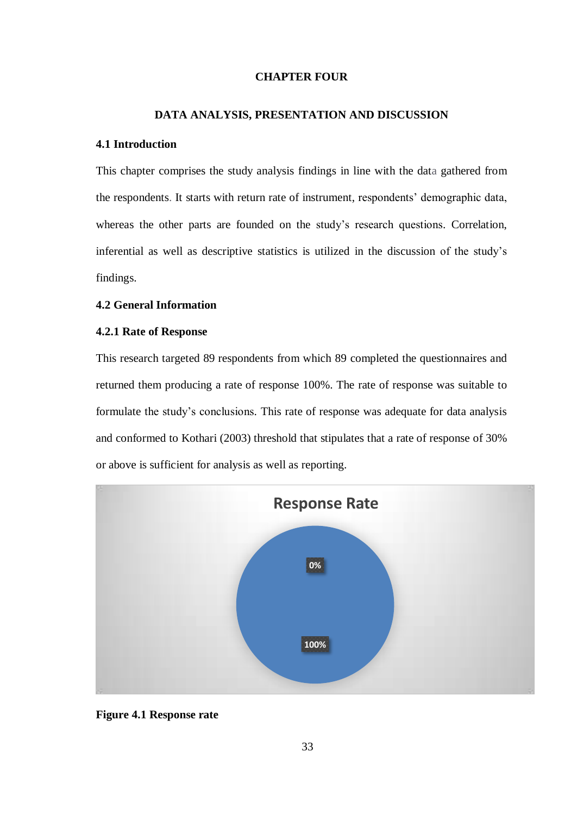#### **CHAPTER FOUR**

#### **DATA ANALYSIS, PRESENTATION AND DISCUSSION**

#### **4.1 Introduction**

This chapter comprises the study analysis findings in line with the data gathered from the respondents. It starts with return rate of instrument, respondents' demographic data, whereas the other parts are founded on the study's research questions. Correlation, inferential as well as descriptive statistics is utilized in the discussion of the study's findings.

#### **4.2 General Information**

#### **4.2.1 Rate of Response**

This research targeted 89 respondents from which 89 completed the questionnaires and returned them producing a rate of response 100%. The rate of response was suitable to formulate the study's conclusions. This rate of response was adequate for data analysis and conformed to Kothari (2003) threshold that stipulates that a rate of response of 30% or above is sufficient for analysis as well as reporting.



#### **Figure 4.1 Response rate**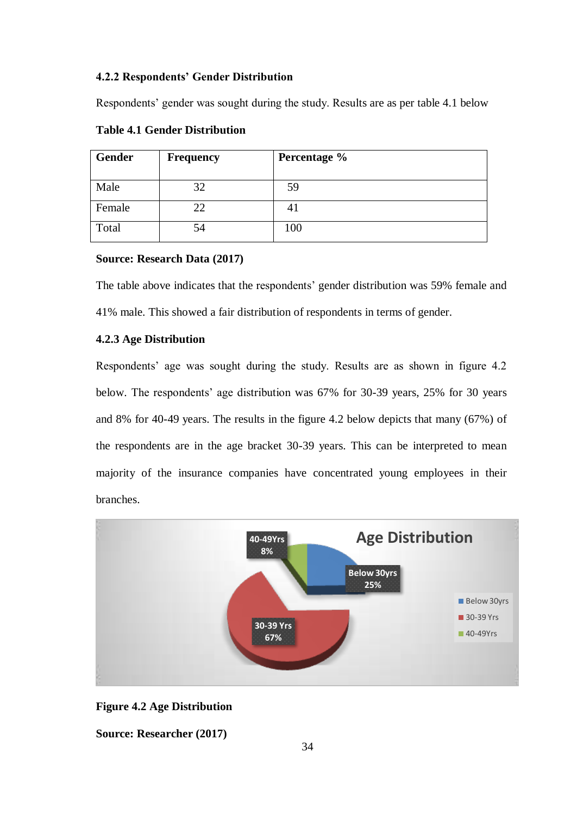#### **4.2.2 Respondents' Gender Distribution**

Respondents' gender was sought during the study. Results are as per table 4.1 below

| <b>Gender</b> | <b>Frequency</b> | Percentage % |
|---------------|------------------|--------------|
| Male          | 32               | 59           |
| Female        | 22               | 41           |
| Total         | 54               | 100          |

#### **Table 4.1 Gender Distribution**

#### **Source: Research Data (2017)**

The table above indicates that the respondents' gender distribution was 59% female and 41% male. This showed a fair distribution of respondents in terms of gender.

#### **4.2.3 Age Distribution**

Respondents' age was sought during the study. Results are as shown in figure 4.2 below. The respondents' age distribution was 67% for 30-39 years, 25% for 30 years and 8% for 40-49 years. The results in the figure 4.2 below depicts that many (67%) of the respondents are in the age bracket 30-39 years. This can be interpreted to mean majority of the insurance companies have concentrated young employees in their branches.



#### **Figure 4.2 Age Distribution**

**Source: Researcher (2017)**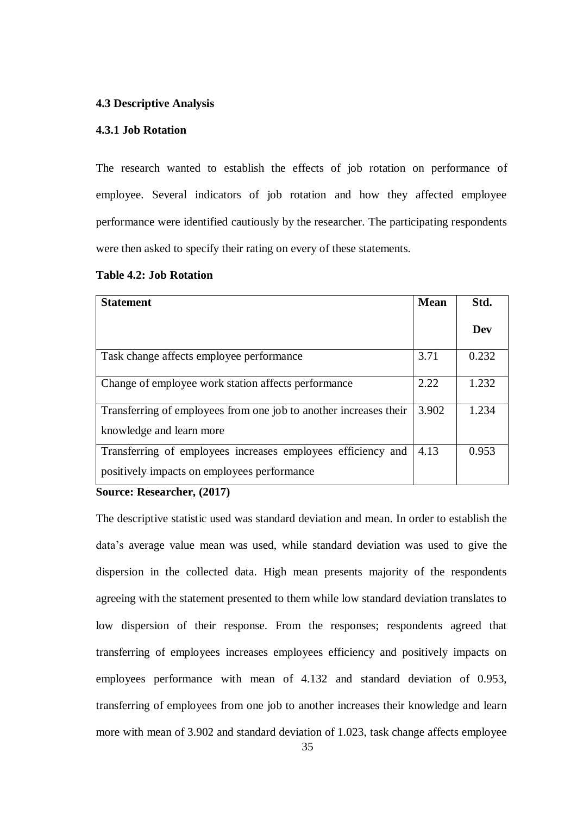#### **4.3 Descriptive Analysis**

#### **4.3.1 Job Rotation**

The research wanted to establish the effects of job rotation on performance of employee. Several indicators of job rotation and how they affected employee performance were identified cautiously by the researcher. The participating respondents were then asked to specify their rating on every of these statements.

#### **Table 4.2: Job Rotation**

| <b>Statement</b>                                                                                            | <b>Mean</b> | Std.  |
|-------------------------------------------------------------------------------------------------------------|-------------|-------|
|                                                                                                             |             | Dev   |
| Task change affects employee performance                                                                    | 3.71        | 0.232 |
| Change of employee work station affects performance                                                         | 2.22        | 1.232 |
| Transferring of employees from one job to another increases their<br>knowledge and learn more               | 3.902       | 1.234 |
| Transferring of employees increases employees efficiency and<br>positively impacts on employees performance | 4.13        | 0.953 |

#### **Source: Researcher, (2017)**

The descriptive statistic used was standard deviation and mean. In order to establish the data's average value mean was used, while standard deviation was used to give the dispersion in the collected data. High mean presents majority of the respondents agreeing with the statement presented to them while low standard deviation translates to low dispersion of their response. From the responses; respondents agreed that transferring of employees increases employees efficiency and positively impacts on employees performance with mean of 4.132 and standard deviation of 0.953, transferring of employees from one job to another increases their knowledge and learn more with mean of 3.902 and standard deviation of 1.023, task change affects employee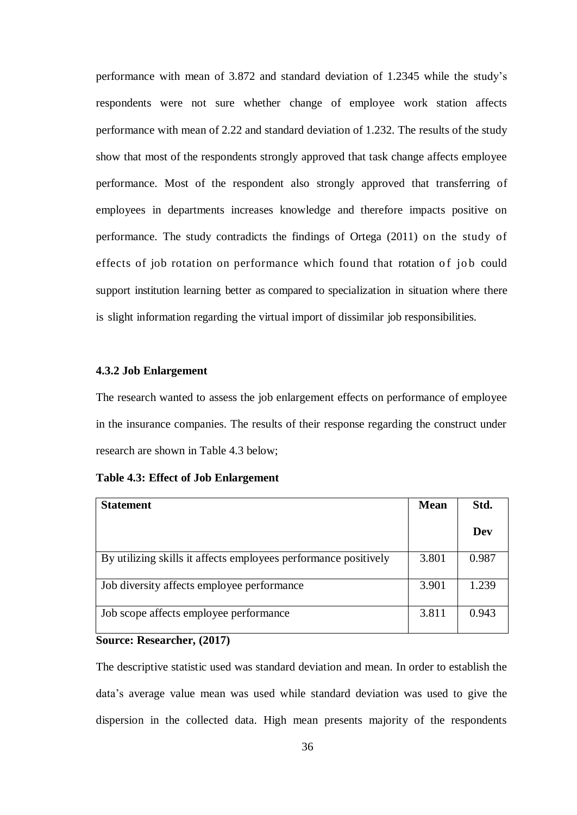performance with mean of 3.872 and standard deviation of 1.2345 while the study's respondents were not sure whether change of employee work station affects performance with mean of 2.22 and standard deviation of 1.232. The results of the study show that most of the respondents strongly approved that task change affects employee performance. Most of the respondent also strongly approved that transferring of employees in departments increases knowledge and therefore impacts positive on performance. The study contradicts the findings of Ortega (2011) on the study of effects of job rotation on performance which found that rotation of job could support institution learning better as compared to specialization in situation where there is slight information regarding the virtual import of dissimilar job responsibilities.

#### **4.3.2 Job Enlargement**

The research wanted to assess the job enlargement effects on performance of employee in the insurance companies. The results of their response regarding the construct under research are shown in Table 4.3 below;

|  |  |  | <b>Table 4.3: Effect of Job Enlargement</b> |
|--|--|--|---------------------------------------------|
|--|--|--|---------------------------------------------|

| <b>Statement</b>                                                | <b>Mean</b> | Std.  |
|-----------------------------------------------------------------|-------------|-------|
|                                                                 |             | Dev   |
| By utilizing skills it affects employees performance positively | 3.801       | 0.987 |
| Job diversity affects employee performance                      | 3.901       | 1.239 |
| Job scope affects employee performance                          | 3.811       | 0.943 |

#### **Source: Researcher, (2017)**

The descriptive statistic used was standard deviation and mean. In order to establish the data's average value mean was used while standard deviation was used to give the dispersion in the collected data. High mean presents majority of the respondents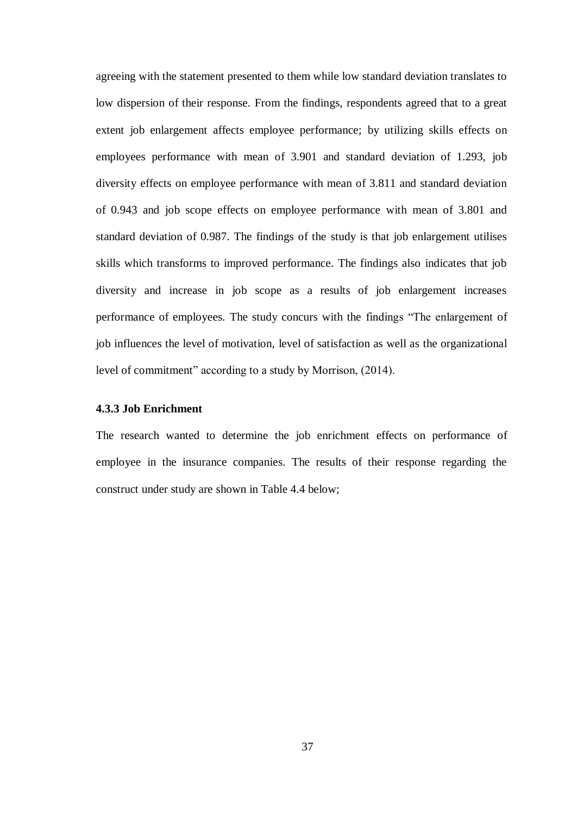agreeing with the statement presented to them while low standard deviation translates to low dispersion of their response. From the findings, respondents agreed that to a great extent job enlargement affects employee performance; by utilizing skills effects on employees performance with mean of 3.901 and standard deviation of 1.293, job diversity effects on employee performance with mean of 3.811 and standard deviation of 0.943 and job scope effects on employee performance with mean of 3.801 and standard deviation of 0.987. The findings of the study is that job enlargement utilises skills which transforms to improved performance. The findings also indicates that job diversity and increase in job scope as a results of job enlargement increases performance of employees. The study concurs with the findings "The enlargement of job influences the level of motivation, level of satisfaction as well as the organizational level of commitment" according to a study by Morrison, (2014).

#### **4.3.3 Job Enrichment**

The research wanted to determine the job enrichment effects on performance of employee in the insurance companies. The results of their response regarding the construct under study are shown in Table 4.4 below;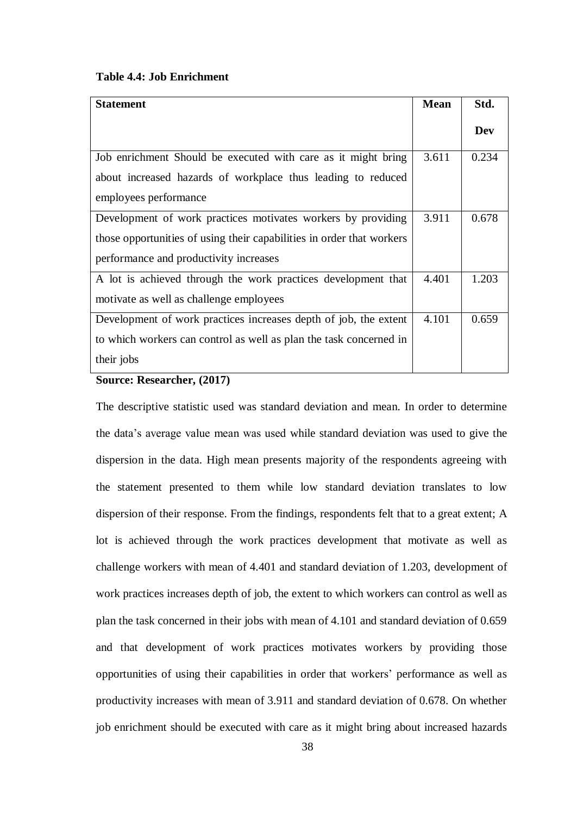#### **Table 4.4: Job Enrichment**

| <b>Statement</b>                                                      | <b>Mean</b> | Std.  |
|-----------------------------------------------------------------------|-------------|-------|
|                                                                       |             | Dev   |
| Job enrichment Should be executed with care as it might bring         | 3.611       | 0.234 |
| about increased hazards of workplace thus leading to reduced          |             |       |
| employees performance                                                 |             |       |
| Development of work practices motivates workers by providing          | 3.911       | 0.678 |
| those opportunities of using their capabilities in order that workers |             |       |
| performance and productivity increases                                |             |       |
| A lot is achieved through the work practices development that         | 4.401       | 1.203 |
| motivate as well as challenge employees                               |             |       |
| Development of work practices increases depth of job, the extent      | 4.101       | 0.659 |
| to which workers can control as well as plan the task concerned in    |             |       |
| their jobs                                                            |             |       |

#### **Source: Researcher, (2017)**

The descriptive statistic used was standard deviation and mean. In order to determine the data's average value mean was used while standard deviation was used to give the dispersion in the data. High mean presents majority of the respondents agreeing with the statement presented to them while low standard deviation translates to low dispersion of their response. From the findings, respondents felt that to a great extent; A lot is achieved through the work practices development that motivate as well as challenge workers with mean of 4.401 and standard deviation of 1.203, development of work practices increases depth of job, the extent to which workers can control as well as plan the task concerned in their jobs with mean of 4.101 and standard deviation of 0.659 and that development of work practices motivates workers by providing those opportunities of using their capabilities in order that workers' performance as well as productivity increases with mean of 3.911 and standard deviation of 0.678. On whether job enrichment should be executed with care as it might bring about increased hazards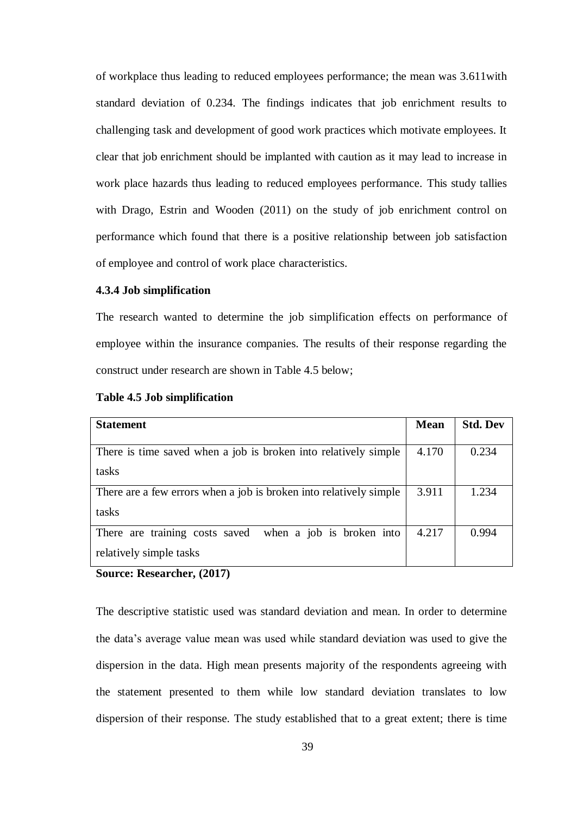of workplace thus leading to reduced employees performance; the mean was 3.611with standard deviation of 0.234. The findings indicates that job enrichment results to challenging task and development of good work practices which motivate employees. It clear that job enrichment should be implanted with caution as it may lead to increase in work place hazards thus leading to reduced employees performance. This study tallies with Drago, Estrin and Wooden (2011) on the study of job enrichment control on performance which found that there is a positive relationship between job satisfaction of employee and control of work place characteristics.

#### **4.3.4 Job simplification**

The research wanted to determine the job simplification effects on performance of employee within the insurance companies. The results of their response regarding the construct under research are shown in Table 4.5 below;

| <b>Statement</b>                                                   | <b>Mean</b> | <b>Std. Dev</b> |
|--------------------------------------------------------------------|-------------|-----------------|
|                                                                    |             |                 |
| There is time saved when a job is broken into relatively simple    | 4.170       | 0.234           |
| tasks                                                              |             |                 |
| There are a few errors when a job is broken into relatively simple | 3.911       | 1.234           |
| tasks                                                              |             |                 |
| There are training costs saved<br>when a job is broken into        | 4.217       | 0.994           |
| relatively simple tasks                                            |             |                 |

#### **Table 4.5 Job simplification**

**Source: Researcher, (2017)**

The descriptive statistic used was standard deviation and mean. In order to determine the data's average value mean was used while standard deviation was used to give the dispersion in the data. High mean presents majority of the respondents agreeing with the statement presented to them while low standard deviation translates to low dispersion of their response. The study established that to a great extent; there is time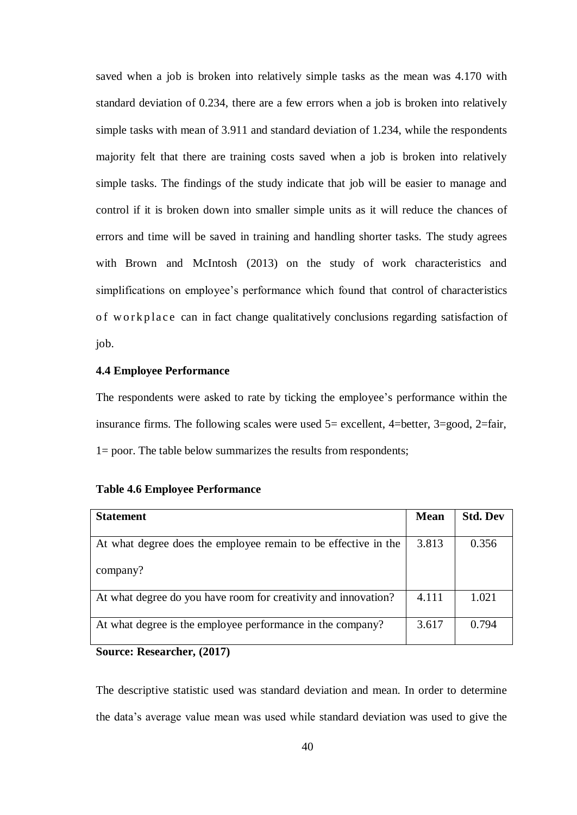saved when a job is broken into relatively simple tasks as the mean was 4.170 with standard deviation of 0.234, there are a few errors when a job is broken into relatively simple tasks with mean of 3.911 and standard deviation of 1.234, while the respondents majority felt that there are training costs saved when a job is broken into relatively simple tasks. The findings of the study indicate that job will be easier to manage and control if it is broken down into smaller simple units as it will reduce the chances of errors and time will be saved in training and handling shorter tasks. The study agrees with Brown and McIntosh (2013) on the study of work characteristics and simplifications on employee's performance which found that control of characteristics of workplace can in fact change qualitatively conclusions regarding satisfaction of job.

#### **4.4 Employee Performance**

The respondents were asked to rate by ticking the employee's performance within the insurance firms. The following scales were used  $5=$  excellent, 4=better, 3=good, 2=fair, 1= poor. The table below summarizes the results from respondents;

| <b>Statement</b>                                               | <b>Mean</b> | <b>Std. Dev</b> |
|----------------------------------------------------------------|-------------|-----------------|
|                                                                |             |                 |
| At what degree does the employee remain to be effective in the | 3.813       | 0.356           |
|                                                                |             |                 |
| company?                                                       |             |                 |
|                                                                |             |                 |
| At what degree do you have room for creativity and innovation? | 4.111       | 1.021           |
|                                                                |             |                 |
| At what degree is the employee performance in the company?     | 3.617       | 0.794           |
|                                                                |             |                 |

#### **Table 4.6 Employee Performance**

#### **Source: Researcher, (2017)**

The descriptive statistic used was standard deviation and mean. In order to determine the data's average value mean was used while standard deviation was used to give the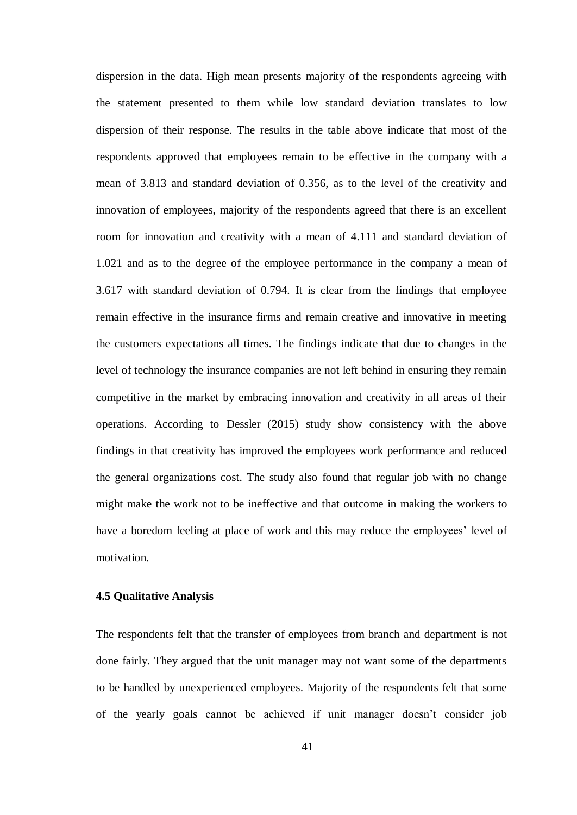dispersion in the data. High mean presents majority of the respondents agreeing with the statement presented to them while low standard deviation translates to low dispersion of their response. The results in the table above indicate that most of the respondents approved that employees remain to be effective in the company with a mean of 3.813 and standard deviation of 0.356, as to the level of the creativity and innovation of employees, majority of the respondents agreed that there is an excellent room for innovation and creativity with a mean of 4.111 and standard deviation of 1.021 and as to the degree of the employee performance in the company a mean of 3.617 with standard deviation of 0.794. It is clear from the findings that employee remain effective in the insurance firms and remain creative and innovative in meeting the customers expectations all times. The findings indicate that due to changes in the level of technology the insurance companies are not left behind in ensuring they remain competitive in the market by embracing innovation and creativity in all areas of their operations. According to Dessler (2015) study show consistency with the above findings in that creativity has improved the employees work performance and reduced the general organizations cost. The study also found that regular job with no change might make the work not to be ineffective and that outcome in making the workers to have a boredom feeling at place of work and this may reduce the employees' level of motivation.

#### **4.5 Qualitative Analysis**

The respondents felt that the transfer of employees from branch and department is not done fairly. They argued that the unit manager may not want some of the departments to be handled by unexperienced employees. Majority of the respondents felt that some of the yearly goals cannot be achieved if unit manager doesn't consider job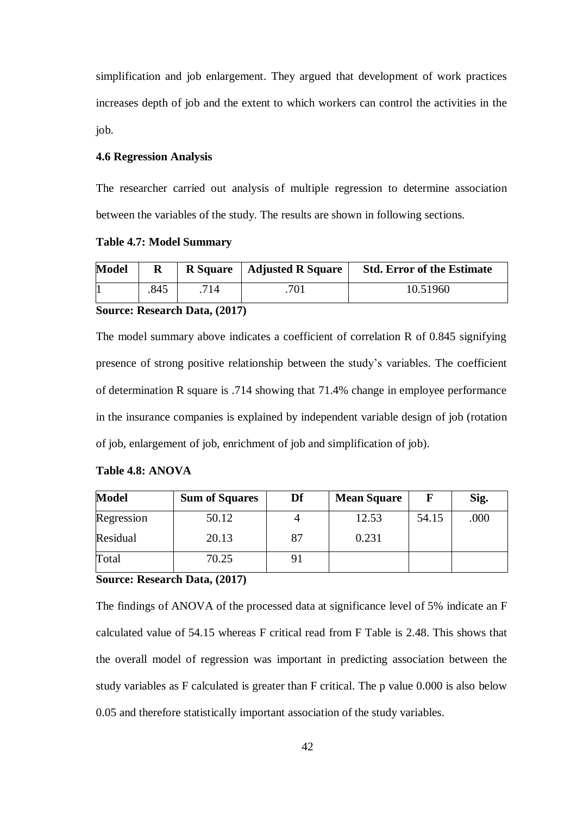simplification and job enlargement. They argued that development of work practices increases depth of job and the extent to which workers can control the activities in the job.

#### **4.6 Regression Analysis**

The researcher carried out analysis of multiple regression to determine association between the variables of the study. The results are shown in following sections.

**Table 4.7: Model Summary**

| <b>Model</b> |      |                                | R Square   Adjusted R Square | <b>Std. Error of the Estimate</b> |
|--------------|------|--------------------------------|------------------------------|-----------------------------------|
|              | .845 | 714                            | 701                          | 10.51960                          |
|              |      | $\mathbf{L} \mathbf{D}$ (A015) |                              |                                   |

#### **Source: Research Data, (2017)**

The model summary above indicates a coefficient of correlation R of 0.845 signifying presence of strong positive relationship between the study's variables. The coefficient of determination R square is .714 showing that 71.4% change in employee performance in the insurance companies is explained by independent variable design of job (rotation of job, enlargement of job, enrichment of job and simplification of job).

#### **Table 4.8: ANOVA**

| <b>Model</b> | <b>Sum of Squares</b> | Df | <b>Mean Square</b> |       | Sig. |
|--------------|-----------------------|----|--------------------|-------|------|
| Regression   | 50.12                 |    | 12.53              | 54.15 | .000 |
| Residual     | 20.13                 | 87 | 0.231              |       |      |
| Total        | 70.25                 |    |                    |       |      |

#### **Source: Research Data, (2017)**

The findings of ANOVA of the processed data at significance level of 5% indicate an F calculated value of 54.15 whereas F critical read from F Table is 2.48. This shows that the overall model of regression was important in predicting association between the study variables as F calculated is greater than F critical. The p value 0.000 is also below 0.05 and therefore statistically important association of the study variables.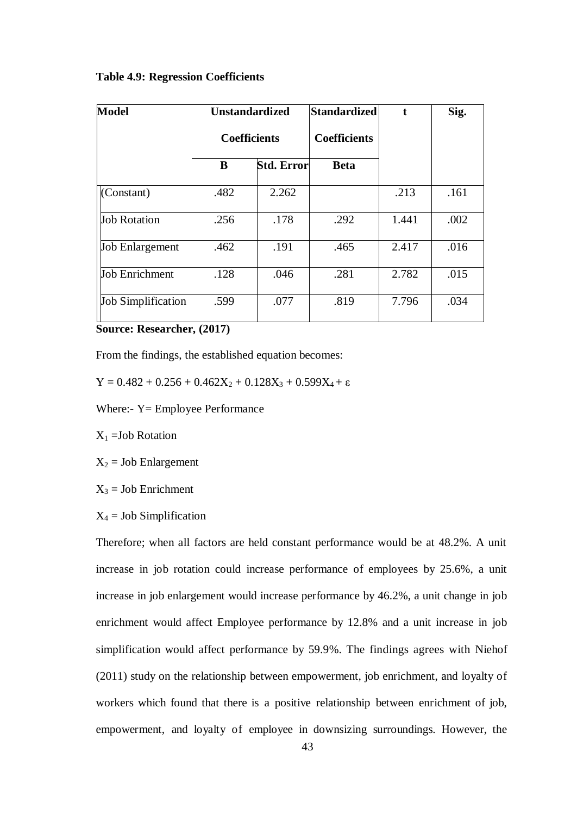|  |  | <b>Table 4.9: Regression Coefficients</b> |
|--|--|-------------------------------------------|
|--|--|-------------------------------------------|

| <b>Model</b>              | <b>Unstandardized</b><br><b>Coefficients</b> |            | <b>Standardized</b> | $\mathbf{f}$ | Sig. |
|---------------------------|----------------------------------------------|------------|---------------------|--------------|------|
|                           |                                              |            | <b>Coefficients</b> |              |      |
|                           | B                                            | Std. Error | <b>Beta</b>         |              |      |
| (Constant)                | .482                                         | 2.262      |                     | .213         | .161 |
| <b>Job Rotation</b>       | .256                                         | .178       | .292                | 1.441        | .002 |
| <b>Job Enlargement</b>    | .462                                         | .191       | .465                | 2.417        | .016 |
| Job Enrichment            | .128                                         | .046       | .281                | 2.782        | .015 |
| <b>Job Simplification</b> | .599                                         | .077       | .819                | 7.796        | .034 |

**Source: Researcher, (2017)**

From the findings, the established equation becomes:

 $Y = 0.482 + 0.256 + 0.462X_2 + 0.128X_3 + 0.599X_4 + ε$ 

Where:- Y= Employee Performance

 $X_1 = Job$  Rotation

 $X_2$  = Job Enlargement

 $X_3$  = Job Enrichment

 $X_4$  = Job Simplification

Therefore; when all factors are held constant performance would be at 48.2%. A unit increase in job rotation could increase performance of employees by 25.6%, a unit increase in job enlargement would increase performance by 46.2%, a unit change in job enrichment would affect Employee performance by 12.8% and a unit increase in job simplification would affect performance by 59.9%. The findings agrees with Niehof (2011) study on the relationship between empowerment, job enrichment, and loyalty of workers which found that there is a positive relationship between enrichment of job, empowerment, and loyalty of employee in downsizing surroundings. However, the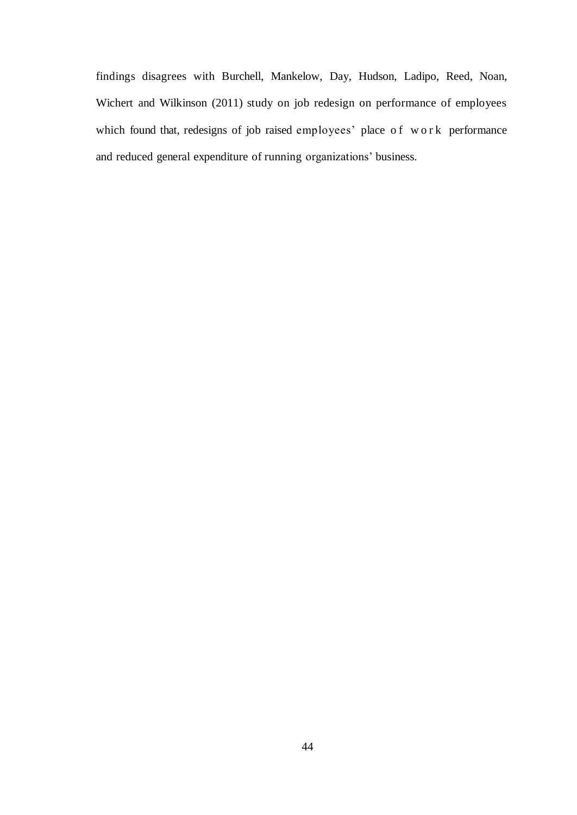findings disagrees with Burchell, Mankelow, Day, Hudson, Ladipo, Reed, Noan, Wichert and Wilkinson (2011) study on job redesign on performance of employees which found that, redesigns of job raised employees' place of work performance and reduced general expenditure of running organizations' business.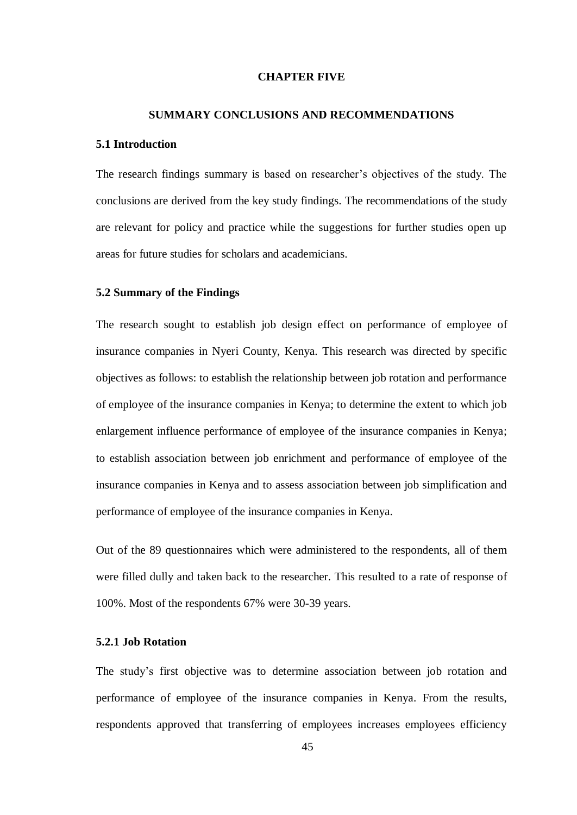#### **CHAPTER FIVE**

#### **SUMMARY CONCLUSIONS AND RECOMMENDATIONS**

#### **5.1 Introduction**

The research findings summary is based on researcher's objectives of the study. The conclusions are derived from the key study findings. The recommendations of the study are relevant for policy and practice while the suggestions for further studies open up areas for future studies for scholars and academicians.

#### **5.2 Summary of the Findings**

The research sought to establish job design effect on performance of employee of insurance companies in Nyeri County, Kenya. This research was directed by specific objectives as follows: to establish the relationship between job rotation and performance of employee of the insurance companies in Kenya; to determine the extent to which job enlargement influence performance of employee of the insurance companies in Kenya; to establish association between job enrichment and performance of employee of the insurance companies in Kenya and to assess association between job simplification and performance of employee of the insurance companies in Kenya.

Out of the 89 questionnaires which were administered to the respondents, all of them were filled dully and taken back to the researcher. This resulted to a rate of response of 100%. Most of the respondents 67% were 30-39 years.

#### **5.2.1 Job Rotation**

The study's first objective was to determine association between job rotation and performance of employee of the insurance companies in Kenya. From the results, respondents approved that transferring of employees increases employees efficiency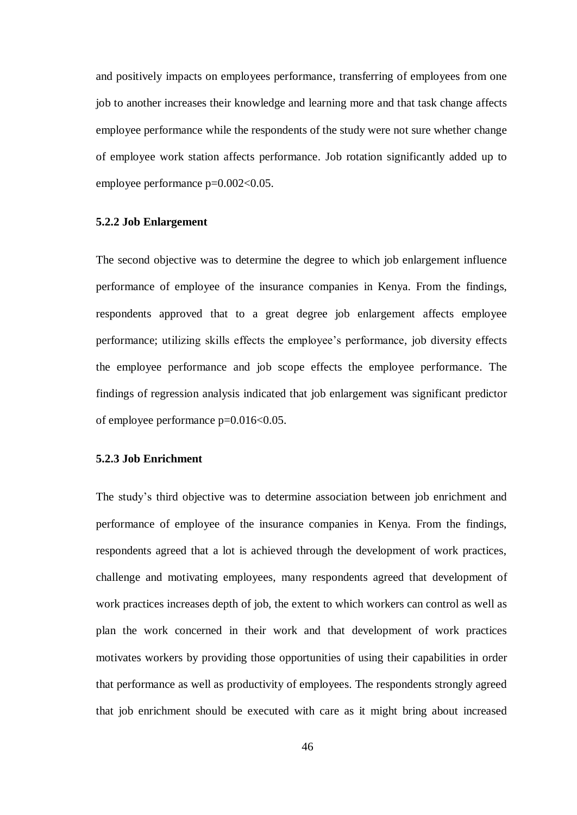and positively impacts on employees performance, transferring of employees from one job to another increases their knowledge and learning more and that task change affects employee performance while the respondents of the study were not sure whether change of employee work station affects performance. Job rotation significantly added up to employee performance p=0.002<0.05.

#### **5.2.2 Job Enlargement**

The second objective was to determine the degree to which job enlargement influence performance of employee of the insurance companies in Kenya. From the findings, respondents approved that to a great degree job enlargement affects employee performance; utilizing skills effects the employee's performance, job diversity effects the employee performance and job scope effects the employee performance. The findings of regression analysis indicated that job enlargement was significant predictor of employee performance p=0.016<0.05.

#### **5.2.3 Job Enrichment**

The study's third objective was to determine association between job enrichment and performance of employee of the insurance companies in Kenya. From the findings, respondents agreed that a lot is achieved through the development of work practices, challenge and motivating employees, many respondents agreed that development of work practices increases depth of job, the extent to which workers can control as well as plan the work concerned in their work and that development of work practices motivates workers by providing those opportunities of using their capabilities in order that performance as well as productivity of employees. The respondents strongly agreed that job enrichment should be executed with care as it might bring about increased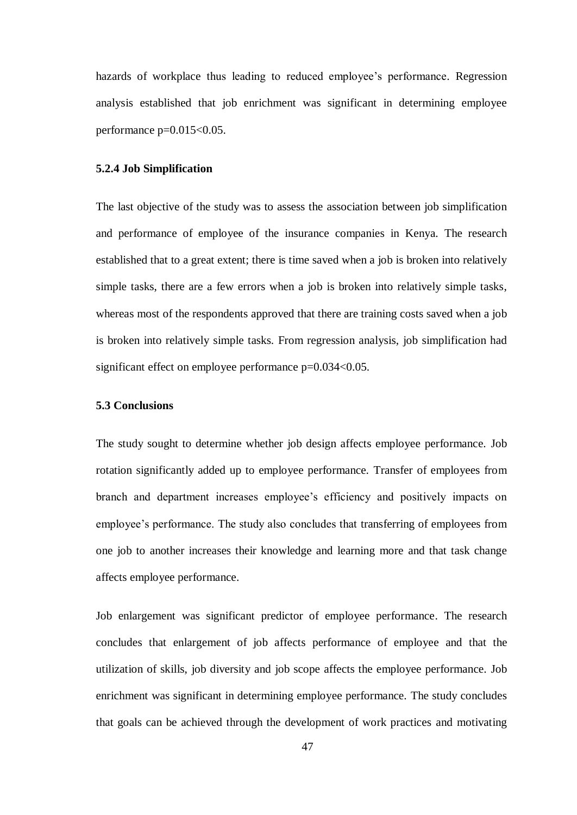hazards of workplace thus leading to reduced employee's performance. Regression analysis established that job enrichment was significant in determining employee performance p=0.015<0.05.

#### **5.2.4 Job Simplification**

The last objective of the study was to assess the association between job simplification and performance of employee of the insurance companies in Kenya. The research established that to a great extent; there is time saved when a job is broken into relatively simple tasks, there are a few errors when a job is broken into relatively simple tasks, whereas most of the respondents approved that there are training costs saved when a job is broken into relatively simple tasks. From regression analysis, job simplification had significant effect on employee performance  $p=0.034<0.05$ .

#### **5.3 Conclusions**

The study sought to determine whether job design affects employee performance. Job rotation significantly added up to employee performance. Transfer of employees from branch and department increases employee's efficiency and positively impacts on employee's performance. The study also concludes that transferring of employees from one job to another increases their knowledge and learning more and that task change affects employee performance.

Job enlargement was significant predictor of employee performance. The research concludes that enlargement of job affects performance of employee and that the utilization of skills, job diversity and job scope affects the employee performance. Job enrichment was significant in determining employee performance. The study concludes that goals can be achieved through the development of work practices and motivating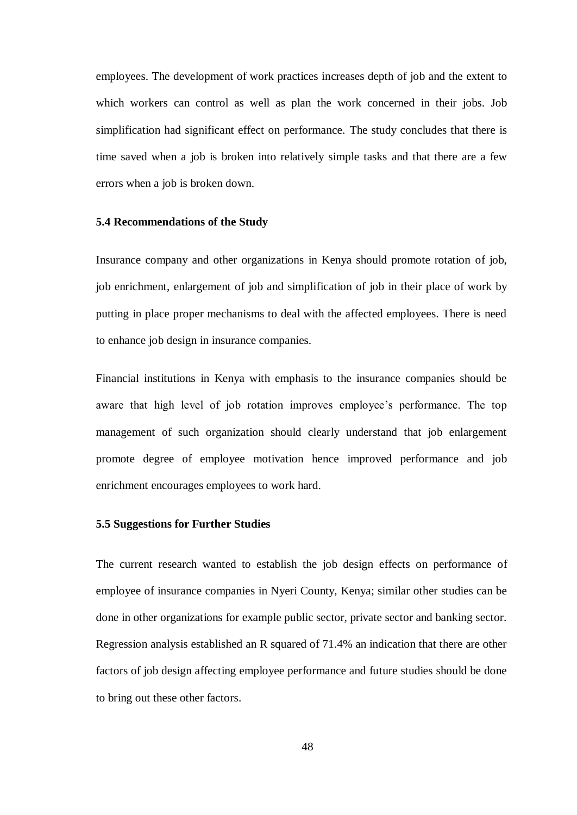employees. The development of work practices increases depth of job and the extent to which workers can control as well as plan the work concerned in their jobs. Job simplification had significant effect on performance. The study concludes that there is time saved when a job is broken into relatively simple tasks and that there are a few errors when a job is broken down.

#### **5.4 Recommendations of the Study**

Insurance company and other organizations in Kenya should promote rotation of job, job enrichment, enlargement of job and simplification of job in their place of work by putting in place proper mechanisms to deal with the affected employees. There is need to enhance job design in insurance companies.

Financial institutions in Kenya with emphasis to the insurance companies should be aware that high level of job rotation improves employee's performance. The top management of such organization should clearly understand that job enlargement promote degree of employee motivation hence improved performance and job enrichment encourages employees to work hard.

#### **5.5 Suggestions for Further Studies**

The current research wanted to establish the job design effects on performance of employee of insurance companies in Nyeri County, Kenya; similar other studies can be done in other organizations for example public sector, private sector and banking sector. Regression analysis established an R squared of 71.4% an indication that there are other factors of job design affecting employee performance and future studies should be done to bring out these other factors.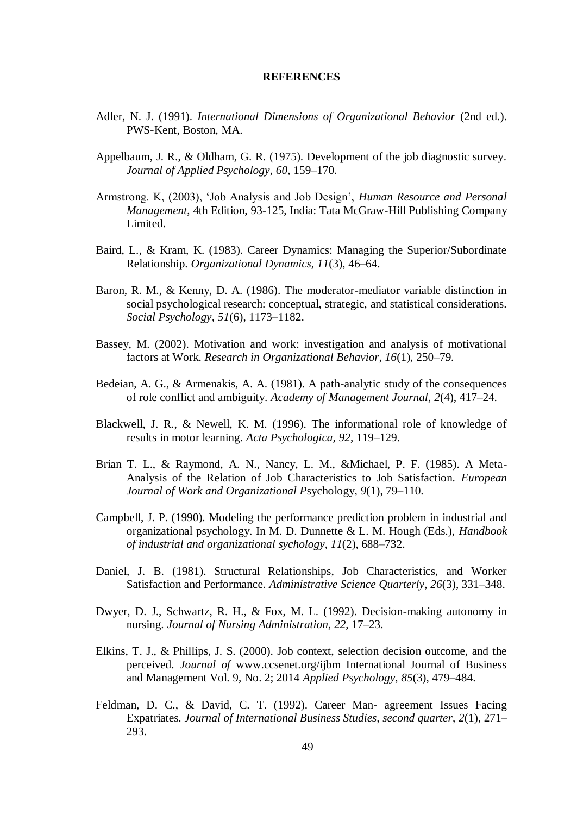#### **REFERENCES**

- Adler, N. J. (1991). *International Dimensions of Organizational Behavior* (2nd ed.). PWS-Kent, Boston, MA.
- Appelbaum, J. R., & Oldham, G. R. (1975). Development of the job diagnostic survey. *Journal of Applied Psychology*, *60*, 159–170.
- Armstrong. K, (2003), 'Job Analysis and Job Design', *Human Resource and Personal Management*, 4th Edition, 93-125, India: Tata McGraw-Hill Publishing Company Limited.
- Baird, L., & Kram, K. (1983). Career Dynamics: Managing the Superior/Subordinate Relationship. *Organizational Dynamics, 11*(3), 46–64.
- Baron, R. M., & Kenny, D. A. (1986). The moderator-mediator variable distinction in social psychological research: conceptual, strategic, and statistical considerations. *Social Psychology, 51*(6), 1173–1182.
- Bassey, M. (2002). Motivation and work: investigation and analysis of motivational factors at Work. *Research in Organizational Behavior, 16*(1), 250–79.
- Bedeian, A. G., & Armenakis, A. A. (1981). A path-analytic study of the consequences of role conflict and ambiguity. *Academy of Management Journal*, *2*(4), 417–24.
- Blackwell, J. R., & Newell, K. M. (1996). The informational role of knowledge of results in motor learning. *Acta Psychologica, 92*, 119–129.
- Brian T. L., & Raymond, A. N., Nancy, L. M., &Michael, P. F. (1985). A Meta-Analysis of the Relation of Job Characteristics to Job Satisfaction. *European Journal of Work and Organizational P*sychology*, 9*(1), 79–110.
- Campbell, J. P. (1990). Modeling the performance prediction problem in industrial and organizational psychology. In M. D. Dunnette & L. M. Hough (Eds.), *Handbook of industrial and organizational sychology*, *11*(2), 688–732.
- Daniel, J. B. (1981). Structural Relationships, Job Characteristics, and Worker Satisfaction and Performance. *Administrative Science Quarterly*, *26*(3), 331–348.
- Dwyer, D. J., Schwartz, R. H., & Fox, M. L. (1992). Decision-making autonomy in nursing. *Journal of Nursing Administration*, *22*, 17–23.
- Elkins, T. J., & Phillips, J. S. (2000). Job context, selection decision outcome, and the perceived. *Journal of* www.ccsenet.org/ijbm International Journal of Business and Management Vol. 9, No. 2; 2014 *Applied Psychology, 85*(3), 479–484.
- Feldman, D. C., & David, C. T. (1992). Career Man- agreement Issues Facing Expatriates. *Journal of International Business Studies, second quarter*, *2*(1), 271– 293.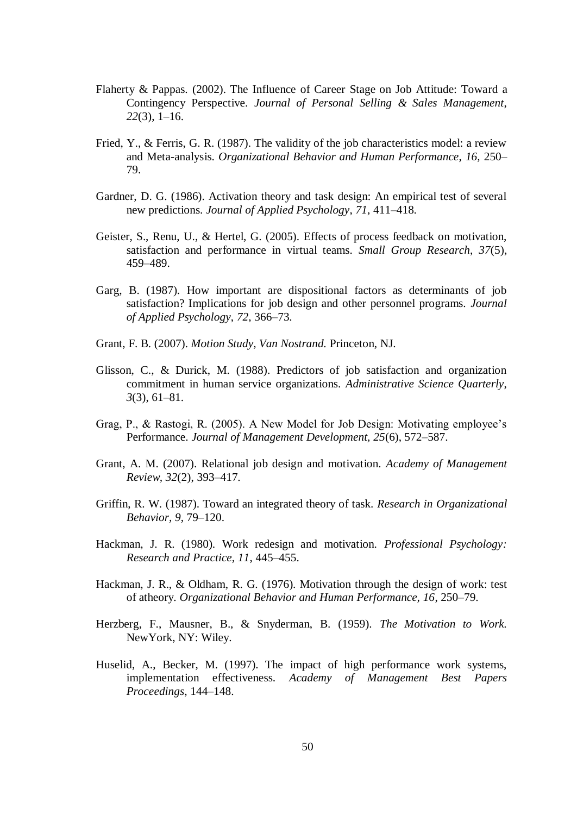- Flaherty & Pappas. (2002). The Influence of Career Stage on Job Attitude: Toward a Contingency Perspective. *Journal of Personal Selling & Sales Management*, *22*(3), 1–16.
- Fried, Y., & Ferris, G. R. (1987). The validity of the job characteristics model: a review and Meta-analysis. *Organizational Behavior and Human Performance*, *16,* 250– 79.
- Gardner, D. G. (1986). Activation theory and task design: An empirical test of several new predictions. *Journal of Applied Psychology*, *71*, 411–418.
- Geister, S., Renu, U., & Hertel, G. (2005). Effects of process feedback on motivation, satisfaction and performance in virtual teams. *Small Group Research*, *37*(5), 459–489.
- Garg, B. (1987). How important are dispositional factors as determinants of job satisfaction? Implications for job design and other personnel programs. *Journal of Applied Psychology*, *72*, 366–73.
- Grant, F. B. (2007). *Motion Study, Van Nostrand.* Princeton, NJ.
- Glisson, C., & Durick, M. (1988). Predictors of job satisfaction and organization commitment in human service organizations. *Administrative Science Quarterly*, *3*(3), 61–81.
- Grag, P., & Rastogi, R. (2005). A New Model for Job Design: Motivating employee's Performance. *Journal of Management Development, 25*(6), 572–587.
- Grant, A. M. (2007). Relational job design and motivation. *Academy of Management Review, 32*(2), 393–417.
- Griffin, R. W. (1987). Toward an integrated theory of task. *Research in Organizational Behavior, 9*, 79–120.
- Hackman, J. R. (1980). Work redesign and motivation. *Professional Psychology: Research and Practice, 11*, 445–455.
- Hackman, J. R., & Oldham, R. G. (1976). Motivation through the design of work: test of atheory. *Organizational Behavior and Human Performance, 16*, 250–79.
- Herzberg, F., Mausner, B., & Snyderman, B. (1959). *The Motivation to Work.*  NewYork, NY: Wiley.
- Huselid, A., Becker, M. (1997). The impact of high performance work systems, implementation effectiveness. *Academy of Management Best Papers Proceedings*, 144–148.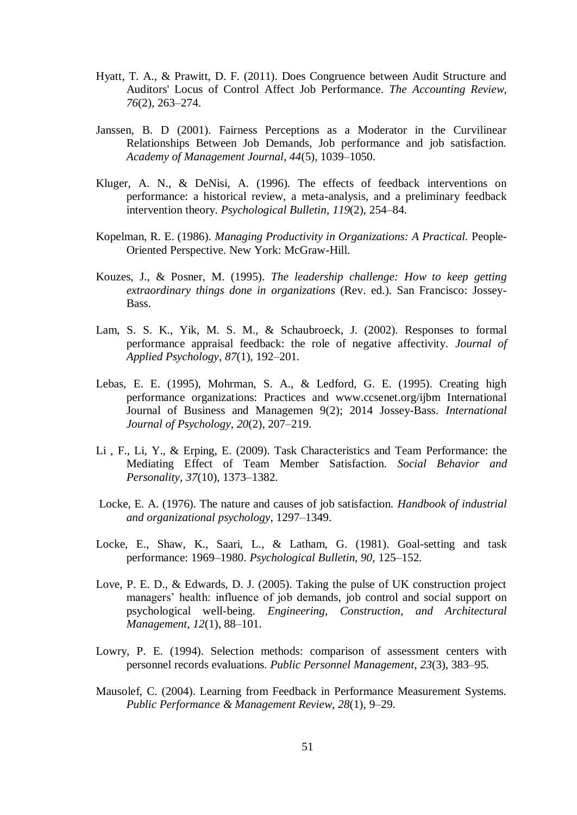- Hyatt, T. A., & Prawitt, D. F. (2011). Does Congruence between Audit Structure and Auditors' Locus of Control Affect Job Performance. *The Accounting Review*, *76*(2), 263–274.
- Janssen, B. D (2001). Fairness Perceptions as a Moderator in the Curvilinear Relationships Between Job Demands, Job performance and job satisfaction. *Academy of Management Journal, 44*(5), 1039–1050.
- Kluger, A. N., & DeNisi, A. (1996). The effects of feedback interventions on performance: a historical review, a meta-analysis, and a preliminary feedback intervention theory. *Psychological Bulletin*, *119*(2), 254–84.
- Kopelman, R. E. (1986). *Managing Productivity in Organizations: A Practical.* People-Oriented Perspective. New York: McGraw-Hill.
- Kouzes, J., & Posner, M. (1995). *The leadership challenge: How to keep getting extraordinary things done in organizations* (Rev. ed.). San Francisco: Jossey-Bass.
- Lam, S. S. K., Yik, M. S. M., & Schaubroeck, J. (2002). Responses to formal performance appraisal feedback: the role of negative affectivity. *Journal of Applied Psychology*, *87*(1), 192–201.
- Lebas, E. E. (1995), Mohrman, S. A., & Ledford, G. E. (1995). Creating high performance organizations: Practices and www.ccsenet.org/ijbm International Journal of Business and Managemen 9(2); 2014 Jossey-Bass. *International Journal of Psychology*, *20*(2), 207–219.
- Li , F., Li, Y., & Erping, E. (2009). Task Characteristics and Team Performance: the Mediating Effect of Team Member Satisfaction. *Social Behavior and Personality, 37*(10), 1373–1382.
- Locke, E. A. (1976). The nature and causes of job satisfaction. *Handbook of industrial and organizational psychology*, 1297–1349.
- Locke, E., Shaw, K., Saari, L., & Latham, G. (1981). Goal-setting and task performance: 1969–1980. *Psychological Bulletin, 90,* 125–152.
- Love, P. E. D., & Edwards, D. J. (2005). Taking the pulse of UK construction project managers' health: influence of job demands, job control and social support on psychological well-being. *Engineering, Construction, and Architectural Management, 12*(1), 88–101.
- Lowry, P. E. (1994). Selection methods: comparison of assessment centers with personnel records evaluations. *Public Personnel Management*, *23*(3), 383–95.
- Mausolef, C. (2004). Learning from Feedback in Performance Measurement Systems. *Public Performance & Management Review*, *28*(1), 9–29.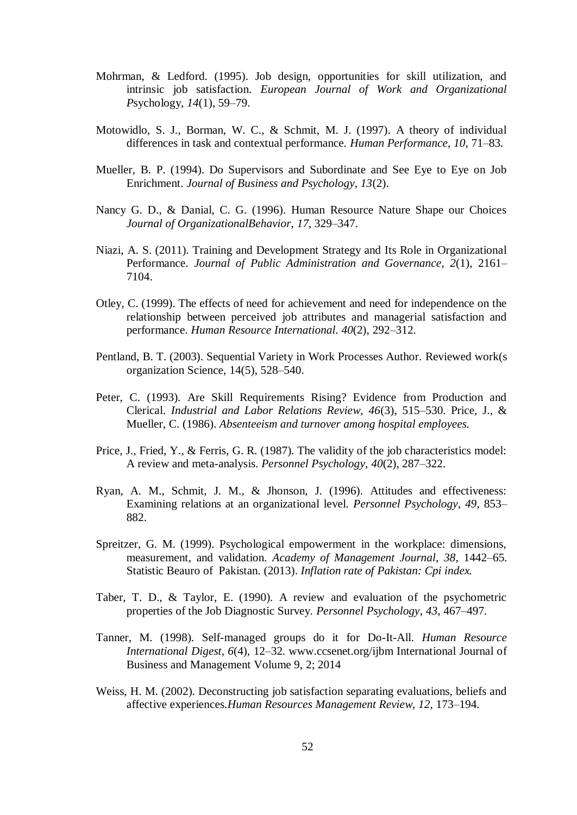- Mohrman, & Ledford. (1995). Job design, opportunities for skill utilization, and intrinsic job satisfaction. *European Journal of Work and Organizational P*sychology, *14*(1), 59–79.
- Motowidlo, S. J., Borman, W. C., & Schmit, M. J. (1997). A theory of individual differences in task and contextual performance. *Human Performance*, *10*, 71–83.
- Mueller, B. P. (1994). Do Supervisors and Subordinate and See Eye to Eye on Job Enrichment. *Journal of Business and Psychology, 13*(2).
- Nancy G. D., & Danial, C. G. (1996). Human Resource Nature Shape our Choices *Journal of OrganizationalBehavior*, *17*, 329–347.
- Niazi, A. S. (2011). Training and Development Strategy and Its Role in Organizational Performance. *Journal of Public Administration and Governance*, *2*(1), 2161– 7104.
- Otley, C. (1999). The effects of need for achievement and need for independence on the relationship between perceived job attributes and managerial satisfaction and performance. *Human Resource International. 40*(2), 292–312.
- Pentland, B. T. (2003). Sequential Variety in Work Processes Author. Reviewed work(s organization Science, 14(5), 528–540.
- Peter, C. (1993). Are Skill Requirements Rising? Evidence from Production and Clerical. *Industrial and Labor Relations Review, 46*(3), 515–530. Price, J., & Mueller, C. (1986). *Absenteeism and turnover among hospital employees.*
- Price, J., Fried, Y., & Ferris, G. R. (1987). The validity of the job characteristics model: A review and meta-analysis. *Personnel Psychology*, *40*(2), 287–322.
- Ryan, A. M., Schmit, J. M., & Jhonson, J. (1996). Attitudes and effectiveness: Examining relations at an organizational level. *Personnel Psychology, 49*, 853– 882.
- Spreitzer, G. M. (1999). Psychological empowerment in the workplace: dimensions, measurement, and validation. *Academy of Management Journal, 38*, 1442–65. Statistic Beauro of Pakistan. (2013). *Inflation rate of Pakistan: Cpi index.*
- Taber, T. D., & Taylor, E. (1990). A review and evaluation of the psychometric properties of the Job Diagnostic Survey. *Personnel Psychology*, *43*, 467–497.
- Tanner, M. (1998). Self-managed groups do it for Do-It-All. *Human Resource International Digest*, *6*(4), 12–32. www.ccsenet.org/ijbm International Journal of Business and Management Volume 9, 2; 2014
- Weiss, H. M. (2002). Deconstructing job satisfaction separating evaluations, beliefs and affective experiences.*Human Resources Management Review*, *12*, 173–194.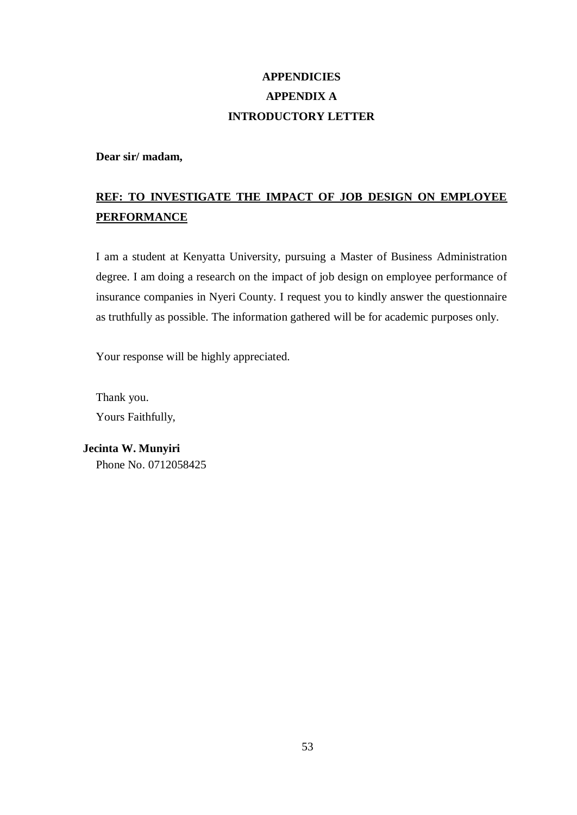## **APPENDICIES APPENDIX A INTRODUCTORY LETTER**

**Dear sir/ madam,** 

## **REF: TO INVESTIGATE THE IMPACT OF JOB DESIGN ON EMPLOYEE PERFORMANCE**

I am a student at Kenyatta University, pursuing a Master of Business Administration degree. I am doing a research on the impact of job design on employee performance of insurance companies in Nyeri County. I request you to kindly answer the questionnaire as truthfully as possible. The information gathered will be for academic purposes only.

Your response will be highly appreciated.

Thank you. Yours Faithfully,

**Jecinta W. Munyiri** Phone No. 0712058425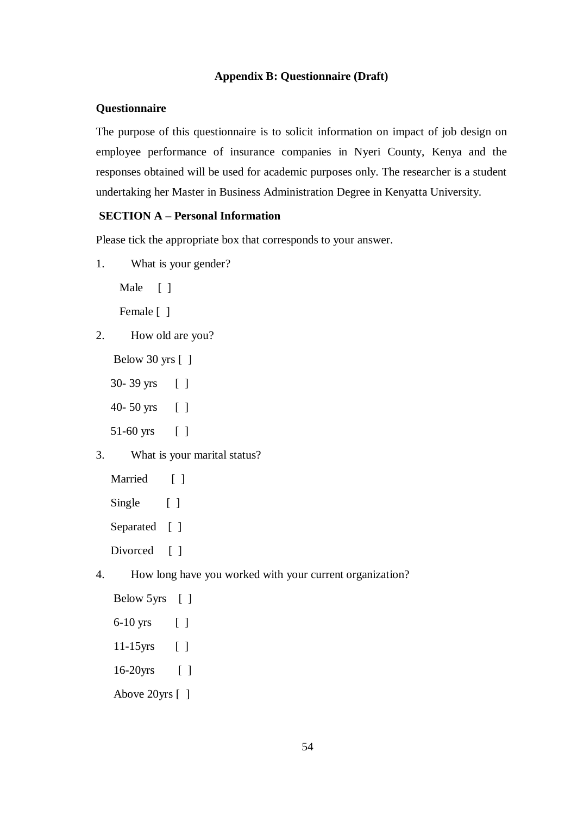## **Appendix B: Questionnaire (Draft)**

#### **Questionnaire**

The purpose of this questionnaire is to solicit information on impact of job design on employee performance of insurance companies in Nyeri County, Kenya and the responses obtained will be used for academic purposes only. The researcher is a student undertaking her Master in Business Administration Degree in Kenyatta University.

### **SECTION A – Personal Information**

Please tick the appropriate box that corresponds to your answer.

1. What is your gender?

Male [ ]

Female [ ]

- 2. How old are you?
	- Below 30 yrs [ ]
	- 30- 39 yrs [ ]
	- 40- 50 yrs [ ]
	- 51-60 yrs [ ]
- 3. What is your marital status?

```
Married [ ]
Single [ ]
Separated [ ]
Divorced [ ]
```
4. How long have you worked with your current organization?

```
Below 5yrs [ ]
 6-10 yrs [ ]
 11-15yrs [ ] 
 16-20yrs [ ]
 Above 20yrs [ ]
```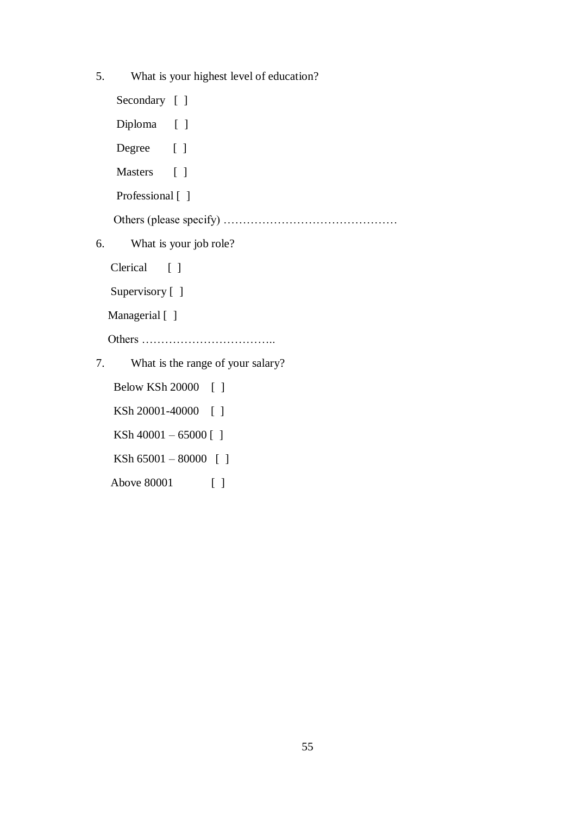5. What is your highest level of education? Secondary [ ] Diploma [ ] Degree [ ] Masters [ ] Professional [ ] Others (please specify) ……………………………………… 6. What is your job role? Clerical [ ] Supervisory [ ] Managerial [ ] Others …………………………….. 7. What is the range of your salary? Below KSh 20000 [ ] KSh 20001-40000 [ ] KSh 40001 – 65000 [ ] KSh 65001 – 80000 [ ]

Above 80001 [ ]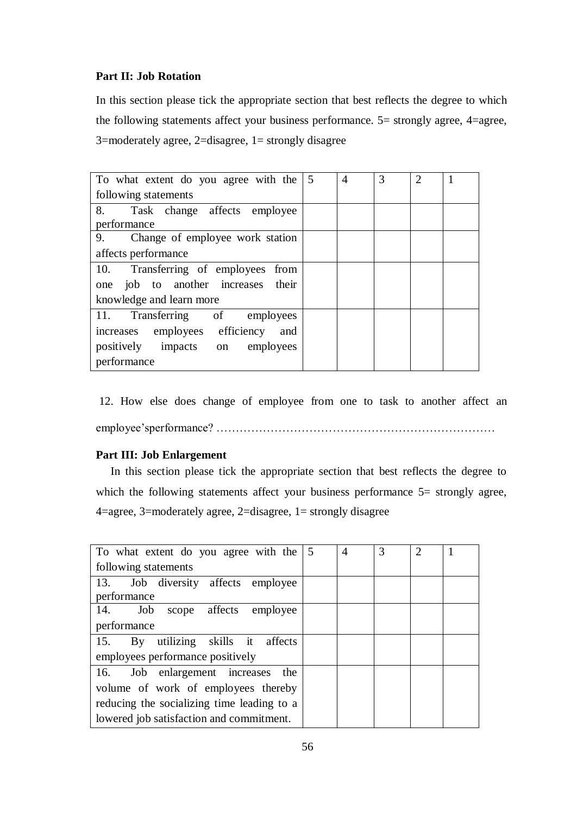### **Part II: Job Rotation**

In this section please tick the appropriate section that best reflects the degree to which the following statements affect your business performance. 5= strongly agree, 4=agree, 3=moderately agree, 2=disagree, 1= strongly disagree

| To what extent do you agree with the  | 5 | 4 | 3 | $\mathfrak{D}$ |  |
|---------------------------------------|---|---|---|----------------|--|
| following statements                  |   |   |   |                |  |
| 8.<br>Task change affects employee    |   |   |   |                |  |
| performance                           |   |   |   |                |  |
| 9.<br>Change of employee work station |   |   |   |                |  |
| affects performance                   |   |   |   |                |  |
| 10. Transferring of employees from    |   |   |   |                |  |
| job to another increases their<br>one |   |   |   |                |  |
| knowledge and learn more              |   |   |   |                |  |
| 11. Transferring of employees         |   |   |   |                |  |
| increases employees efficiency<br>and |   |   |   |                |  |
| positively impacts on<br>employees    |   |   |   |                |  |
| performance                           |   |   |   |                |  |

12. How else does change of employee from one to task to another affect an employee'sperformance? ………………………………………………………………

#### **Part III: Job Enlargement**

 In this section please tick the appropriate section that best reflects the degree to which the following statements affect your business performance 5= strongly agree, 4=agree, 3=moderately agree, 2=disagree, 1= strongly disagree

| To what extent do you agree with the $\vert 5 \rangle$ | 4 | 3 | 2 |  |
|--------------------------------------------------------|---|---|---|--|
| following statements                                   |   |   |   |  |
| 13. Job diversity affects employee                     |   |   |   |  |
| performance                                            |   |   |   |  |
| 14.<br>Job scope affects employee                      |   |   |   |  |
| performance                                            |   |   |   |  |
| 15. By utilizing skills it affects                     |   |   |   |  |
| employees performance positively                       |   |   |   |  |
| 16. Job enlargement increases the                      |   |   |   |  |
| volume of work of employees thereby                    |   |   |   |  |
| reducing the socializing time leading to a             |   |   |   |  |
| lowered job satisfaction and commitment.               |   |   |   |  |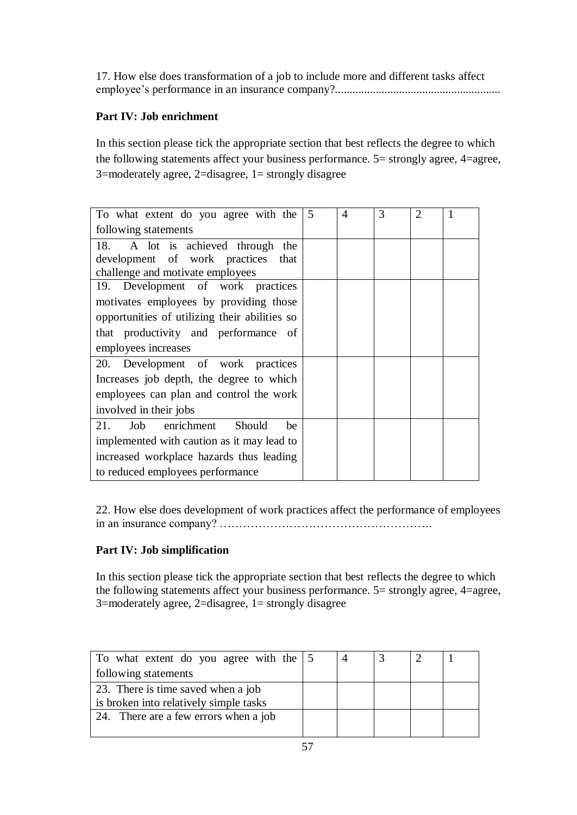17. How else does transformation of a job to include more and different tasks affect employee's performance in an insurance company?.........................................................

## **Part IV: Job enrichment**

In this section please tick the appropriate section that best reflects the degree to which the following statements affect your business performance. 5= strongly agree, 4=agree, 3=moderately agree, 2=disagree, 1= strongly disagree

| To what extent do you agree with the          | 5 | $\overline{A}$ | 3 | $\overline{2}$ |  |
|-----------------------------------------------|---|----------------|---|----------------|--|
| following statements                          |   |                |   |                |  |
| A lot is achieved through<br>18.<br>the       |   |                |   |                |  |
| development of work practices that            |   |                |   |                |  |
| challenge and motivate employees              |   |                |   |                |  |
| 19. Development of work practices             |   |                |   |                |  |
| motivates employees by providing those        |   |                |   |                |  |
| opportunities of utilizing their abilities so |   |                |   |                |  |
| that productivity and performance of          |   |                |   |                |  |
| employees increases                           |   |                |   |                |  |
| 20. Development of work practices             |   |                |   |                |  |
| Increases job depth, the degree to which      |   |                |   |                |  |
| employees can plan and control the work       |   |                |   |                |  |
| involved in their jobs                        |   |                |   |                |  |
| enrichment<br>21.<br>Job<br>Should<br>be      |   |                |   |                |  |
| implemented with caution as it may lead to    |   |                |   |                |  |
| increased workplace hazards thus leading      |   |                |   |                |  |
| to reduced employees performance              |   |                |   |                |  |

22. How else does development of work practices affect the performance of employees in an insurance company? ……………………………………………….

## **Part IV: Job simplification**

In this section please tick the appropriate section that best reflects the degree to which the following statements affect your business performance. 5= strongly agree, 4=agree, 3=moderately agree, 2=disagree, 1= strongly disagree

| To what extent do you agree with the 5 |  |  |  |
|----------------------------------------|--|--|--|
| following statements                   |  |  |  |
| 23. There is time saved when a job     |  |  |  |
| is broken into relatively simple tasks |  |  |  |
| 24. There are a few errors when a job  |  |  |  |
|                                        |  |  |  |